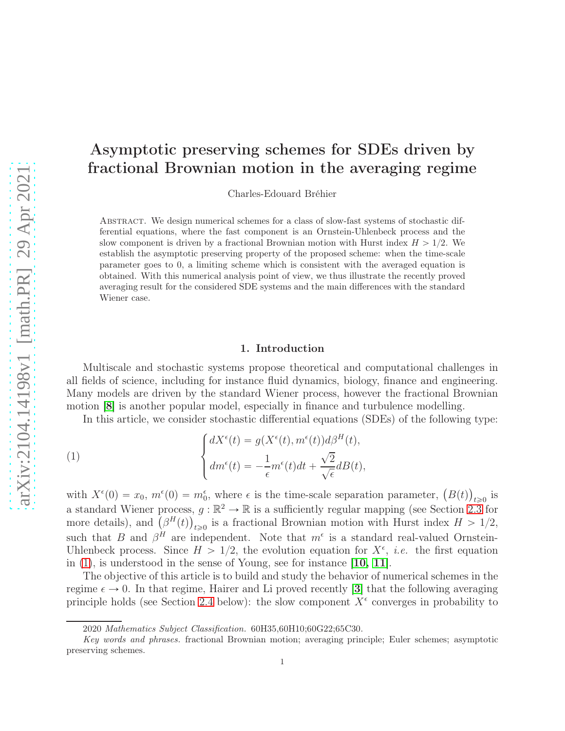# Asymptotic preserving schemes for SDEs driven by fractional Brownian motion in the averaging regime

Charles-Edouard Bréhier

Abstract. We design numerical schemes for a class of slow-fast systems of stochastic differential equations, where the fast component is an Ornstein-Uhlenbeck process and the slow component is driven by a fractional Brownian motion with Hurst index  $H > 1/2$ . We establish the asymptotic preserving property of the proposed scheme: when the time-scale parameter goes to 0, a limiting scheme which is consistent with the averaged equation is obtained. With this numerical analysis point of view, we thus illustrate the recently proved averaging result for the considered SDE systems and the main differences with the standard Wiener case.

# <span id="page-0-0"></span>1. Introduction

Multiscale and stochastic systems propose theoretical and computational challenges in all fields of science, including for instance fluid dynamics, biology, finance and engineering. Many models are driven by the standard Wiener process, however the fractional Brownian motion [[8](#page-19-0)] is another popular model, especially in finance and turbulence modelling.

In this article, we consider stochastic differential equations (SDEs) of the following type:

(1) 
$$
\begin{cases} dX^{\epsilon}(t) = g(X^{\epsilon}(t), m^{\epsilon}(t))d\beta^{H}(t), \\ dm^{\epsilon}(t) = -\frac{1}{\epsilon}m^{\epsilon}(t)dt + \frac{\sqrt{2}}{\sqrt{\epsilon}}dB(t), \end{cases}
$$

with  $X^{\epsilon}(0) = x_0$ ,  $m^{\epsilon}(0) = m_0^{\epsilon}$ , where  $\epsilon$  is the time-scale separation parameter,  $(B(t))_{t \geq 0}$  is a standard Wiener process,  $g : \mathbb{R}^2 \to \mathbb{R}$  is a sufficiently regular mapping (see Section [2.3](#page-3-0) for more details), and  $(\beta^H(t))_{t\geq 0}$  is a fractional Brownian motion with Hurst index  $H > 1/2$ , such that B and  $\beta^H$  are independent. Note that  $m^{\epsilon}$  is a standard real-valued Ornstein-Uhlenbeck process. Since  $H > 1/2$ , the evolution equation for  $X^{\epsilon}$ , *i.e.* the first equation in [\(1\)](#page-0-0), is understood in the sense of Young, see for instance [[10,](#page-19-1) [11](#page-19-2)].

The objective of this article is to build and study the behavior of numerical schemes in the regime  $\epsilon \to 0$ . In that regime, Hairer and Li proved recently [[3](#page-19-3)] that the following averaging principle holds (see Section [2.4](#page-4-0) below): the slow component  $X^{\epsilon}$  converges in probability to

<sup>2020</sup> Mathematics Subject Classification. 60H35,60H10;60G22;65C30.

Key words and phrases. fractional Brownian motion; averaging principle; Euler schemes; asymptotic preserving schemes.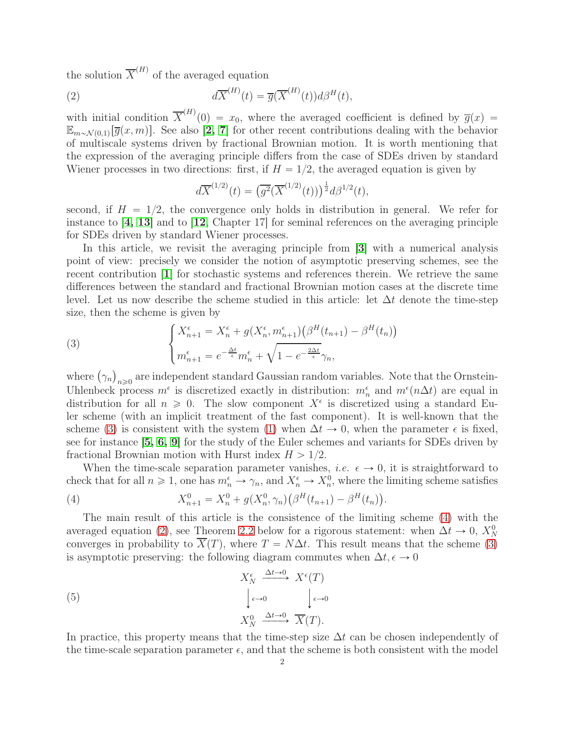the solution  $\overline{X}^{(H)}$  of the averaged equation

(2) 
$$
d\overline{X}^{(H)}(t) = \overline{g}(\overline{X}^{(H)}(t))d\beta^{H}(t),
$$

with initial condition  $\overline{X}^{(H)}(0) = x_0$ , where the averaged coefficient is defined by  $\overline{g}(x) =$  $\mathbb{E}_{m \sim \mathcal{N}(0,1)}[\overline{g}(x,m)]$ . See also [[2,](#page-19-4) [7](#page-19-5)] for other recent contributions dealing with the behavior of multiscale systems driven by fractional Brownian motion. It is worth mentioning that the expression of the averaging principle differs from the case of SDEs driven by standard Wiener processes in two directions: first, if  $H = 1/2$ , the averaged equation is given by

<span id="page-1-2"></span>
$$
d\overline{X}^{(1/2)}(t) = (\overline{g^2}(\overline{X}^{(1/2)}(t)))^{\frac{1}{2}} d\beta^{1/2}(t),
$$

second, if  $H = 1/2$ , the convergence only holds in distribution in general. We refer for instance to [[4,](#page-19-6) [13](#page-19-7)] and to [[12](#page-19-8), Chapter 17] for seminal references on the averaging principle for SDEs driven by standard Wiener processes.

In this article, we revisit the averaging principle from [[3](#page-19-3)] with a numerical analysis point of view: precisely we consider the notion of asymptotic preserving schemes, see the recent contribution [[1](#page-19-9)] for stochastic systems and references therein. We retrieve the same differences between the standard and fractional Brownian motion cases at the discrete time level. Let us now describe the scheme studied in this article: let  $\Delta t$  denote the time-step size, then the scheme is given by

<span id="page-1-0"></span>(3) 
$$
\begin{cases} X_{n+1}^{\epsilon} = X_n^{\epsilon} + g(X_n^{\epsilon}, m_{n+1}^{\epsilon}) \left( \beta^H(t_{n+1}) - \beta^H(t_n) \right) \\ m_{n+1}^{\epsilon} = e^{-\frac{\Delta t}{\epsilon}} m_n^{\epsilon} + \sqrt{1 - e^{-\frac{2\Delta t}{\epsilon}}} \gamma_n, \end{cases}
$$

where  $(\gamma_n)_{n\geqslant 0}$  are independent standard Gaussian random variables. Note that the Ornstein-Uhlenbeck process  $m^{\epsilon}$  is discretized exactly in distribution:  $m_n^{\epsilon}$  and  $m^{\epsilon}(n\Delta t)$  are equal in distribution for all  $n \geq 0$ . The slow component  $X^{\epsilon}$  is discretized using a standard Euler scheme (with an implicit treatment of the fast component). It is well-known that the scheme [\(3\)](#page-1-0) is consistent with the system [\(1\)](#page-0-0) when  $\Delta t \to 0$ , when the parameter  $\epsilon$  is fixed, see for instance [[5,](#page-19-10) [6,](#page-19-11) [9](#page-19-12)] for the study of the Euler schemes and variants for SDEs driven by fractional Brownian motion with Hurst index  $H > 1/2$ .

When the time-scale separation parameter vanishes, *i.e.*  $\epsilon \to 0$ , it is straightforward to check that for all  $n \ge 1$ , one has  $m_n^{\epsilon} \to \gamma_n$ , and  $X_n^{\epsilon} \to X_n^0$ , where the limiting scheme satisfies

.

<span id="page-1-1"></span>(4) 
$$
X_{n+1}^0 = X_n^0 + g(X_n^0, \gamma_n) \left( \beta^H(t_{n+1}) - \beta^H(t_n) \right)
$$

The main result of this article is the consistence of the limiting scheme [\(4\)](#page-1-1) with the averaged equation [\(2\)](#page-1-2), see Theorem [2.2](#page-5-0) below for a rigorous statement: when  $\Delta t \to 0$ ,  $X_N^0$ converges in probability to  $\overline{X}(T)$ , where  $T = N\Delta t$ . This result means that the scheme [\(3\)](#page-1-0) is asymptotic preserving: the following diagram commutes when  $\Delta t, \epsilon \to 0$ 

(5) 
$$
X_N^{\epsilon} \xrightarrow{\Delta t \to 0} X^{\epsilon}(T)
$$

$$
\downarrow_{\epsilon \to 0} \qquad \downarrow_{\epsilon \to 0}
$$

$$
X_N^0 \xrightarrow{\Delta t \to 0} \overline{X}(T).
$$

In practice, this property means that the time-step size  $\Delta t$  can be chosen independently of the time-scale separation parameter  $\epsilon$ , and that the scheme is both consistent with the model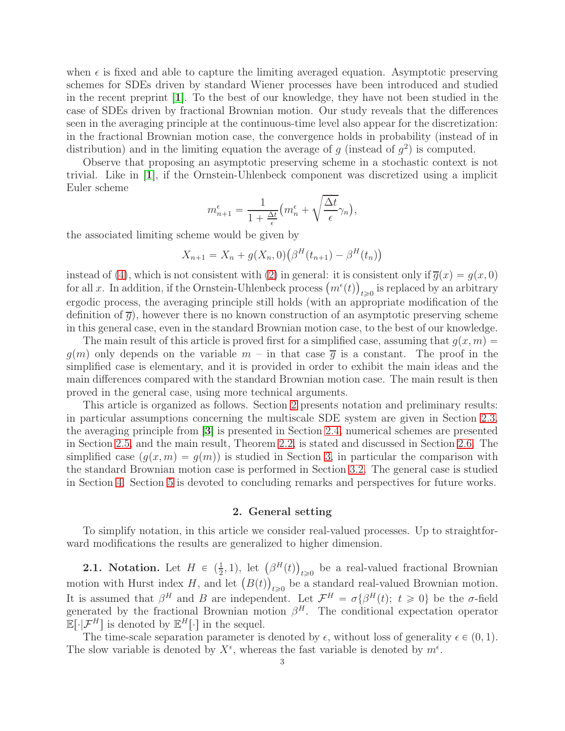when  $\epsilon$  is fixed and able to capture the limiting averaged equation. Asymptotic preserving schemes for SDEs driven by standard Wiener processes have been introduced and studied in the recent preprint [[1](#page-19-9)]. To the best of our knowledge, they have not been studied in the case of SDEs driven by fractional Brownian motion. Our study reveals that the differences seen in the averaging principle at the continuous-time level also appear for the discretization: in the fractional Brownian motion case, the convergence holds in probability (instead of in distribution) and in the limiting equation the average of g (instead of  $g^2$ ) is computed.

Observe that proposing an asymptotic preserving scheme in a stochastic context is not trivial. Like in [[1](#page-19-9)], if the Ornstein-Uhlenbeck component was discretized using a implicit Euler scheme

$$
m_{n+1}^{\epsilon} = \frac{1}{1 + \frac{\Delta t}{\epsilon}} \Big( m_n^{\epsilon} + \sqrt{\frac{\Delta t}{\epsilon}} \gamma_n \Big),
$$

the associated limiting scheme would be given by

$$
X_{n+1} = X_n + g(X_n, 0) (\beta^H(t_{n+1}) - \beta^H(t_n))
$$

instead of [\(4\)](#page-1-1), which is not consistent with [\(2\)](#page-1-2) in general: it is consistent only if  $\overline{g}(x) = g(x, 0)$ for all x. In addition, if the Ornstein-Uhlenbeck process  $(m^{\epsilon}(t))_{t\geqslant0}$  is replaced by an arbitrary ergodic process, the averaging principle still holds (with an appropriate modification of the definition of  $\overline{q}$ , however there is no known construction of an asymptotic preserving scheme in this general case, even in the standard Brownian motion case, to the best of our knowledge.

The main result of this article is proved first for a simplified case, assuming that  $q(x, m)$  $g(m)$  only depends on the variable  $m -$  in that case  $\overline{g}$  is a constant. The proof in the simplified case is elementary, and it is provided in order to exhibit the main ideas and the main differences compared with the standard Brownian motion case. The main result is then proved in the general case, using more technical arguments.

This article is organized as follows. Section [2](#page-2-0) presents notation and preliminary results: in particular assumptions concerning the multiscale SDE system are given in Section [2.3,](#page-3-0) the averaging principle from [[3](#page-19-3)] is presented in Section [2.4,](#page-4-0) numerical schemes are presented in Section [2.5,](#page-4-1) and the main result, Theorem [2.2,](#page-5-0) is stated and discussed in Section [2.6.](#page-5-1) The simplified case  $(g(x, m) = g(m))$  is studied in Section [3,](#page-6-0) in particular the comparison with the standard Brownian motion case is performed in Section [3.2.](#page-7-0) The general case is studied in Section [4.](#page-9-0) Section [5](#page-16-0) is devoted to concluding remarks and perspectives for future works.

# 2. General setting

<span id="page-2-0"></span>To simplify notation, in this article we consider real-valued processes. Up to straightforward modifications the results are generalized to higher dimension.

**2.1.** Notation. Let  $H \in \left(\frac{1}{2}, 1\right)$ , let  $\left(\beta^H(t)\right)_{t \geq 0}$  be a real-valued fractional Brownian motion with Hurst index H, and let  $(B(t))_{t\geq0}$  be a standard real-valued Brownian motion. It is assumed that  $\beta^H$  and B are independent. Let  $\mathcal{F}^H = \sigma\{\beta^H(t); t \geq 0\}$  be the  $\sigma$ -field generated by the fractional Brownian motion  $\beta^H$ . The conditional expectation operator  $\mathbb{E}[\cdot|\mathcal{F}^H]$  is denoted by  $\mathbb{E}^H[\cdot]$  in the sequel.

The time-scale separation parameter is denoted by  $\epsilon$ , without loss of generality  $\epsilon \in (0, 1)$ . The slow variable is denoted by  $X^{\epsilon}$ , whereas the fast variable is denoted by  $m^{\epsilon}$ .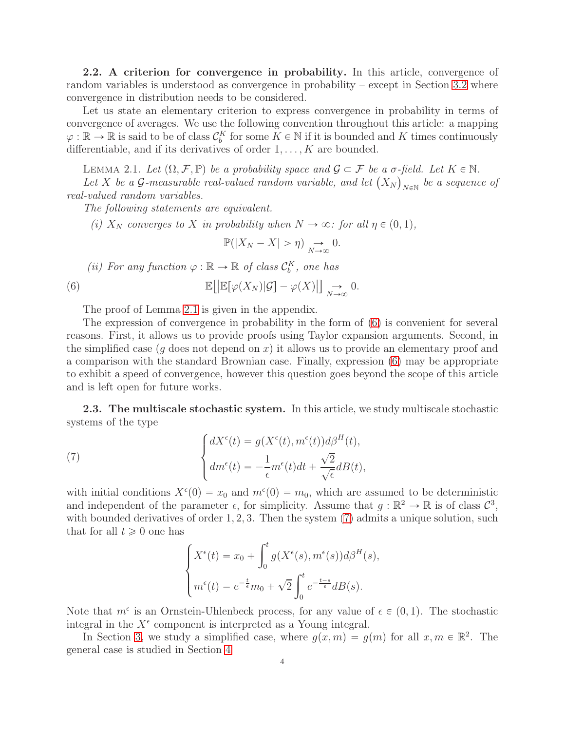2.2. A criterion for convergence in probability. In this article, convergence of random variables is understood as convergence in probability – except in Section [3.2](#page-7-0) where convergence in distribution needs to be considered.

Let us state an elementary criterion to express convergence in probability in terms of convergence of averages. We use the following convention throughout this article: a mapping  $\varphi : \mathbb{R} \to \mathbb{R}$  is said to be of class  $\mathcal{C}_b^K$  for some  $K \in \mathbb{N}$  if it is bounded and K times continuously differentiable, and if its derivatives of order  $1, \ldots, K$  are bounded.

<span id="page-3-1"></span>LEMMA 2.1. Let  $(\Omega, \mathcal{F}, \mathbb{P})$  be a probability space and  $\mathcal{G} \subset \mathcal{F}$  be a  $\sigma$ -field. Let  $K \in \mathbb{N}$ . Let X be a G-measurable real-valued random variable, and let  $(X_N)_{N\in\mathbb{N}}$  be a sequence of real-valued random variables.

The following statements are equivalent.

(i)  $X_N$  converges to X in probability when  $N \to \infty$ : for all  $\eta \in (0, 1)$ ,

<span id="page-3-2"></span>
$$
\mathbb{P}(|X_N - X| > \eta) \underset{N \to \infty}{\to} 0.
$$

(ii) For any function  $\varphi : \mathbb{R} \to \mathbb{R}$  of class  $\mathcal{C}_b^K$ , one has

(6) 
$$
\mathbb{E}\big[\big|\mathbb{E}[\varphi(X_N)|\mathcal{G}] - \varphi(X)\big|\big] \underset{N \to \infty}{\to} 0.
$$

The proof of Lemma [2.1](#page-3-1) is given in the appendix.

The expression of convergence in probability in the form of [\(6\)](#page-3-2) is convenient for several reasons. First, it allows us to provide proofs using Taylor expansion arguments. Second, in the simplified case (g does not depend on x) it allows us to provide an elementary proof and a comparison with the standard Brownian case. Finally, expression [\(6\)](#page-3-2) may be appropriate to exhibit a speed of convergence, however this question goes beyond the scope of this article and is left open for future works.

<span id="page-3-0"></span>2.3. The multiscale stochastic system. In this article, we study multiscale stochastic systems of the type

(7) 
$$
\begin{cases} dX^{\epsilon}(t) = g(X^{\epsilon}(t), m^{\epsilon}(t))d\beta^{H}(t), \\ dm^{\epsilon}(t) = -\frac{1}{\epsilon}m^{\epsilon}(t)dt + \frac{\sqrt{2}}{\sqrt{\epsilon}}dB(t), \end{cases}
$$

with initial conditions  $X^{\epsilon}(0) = x_0$  and  $m^{\epsilon}(0) = m_0$ , which are assumed to be deterministic and independent of the parameter  $\epsilon$ , for simplicity. Assume that  $g : \mathbb{R}^2 \to \mathbb{R}$  is of class  $\mathcal{C}^3$ , with bounded derivatives of order 1, 2, 3. Then the system [\(7\)](#page-3-3) admits a unique solution, such that for all  $t \geq 0$  one has

<span id="page-3-3"></span>
$$
\begin{cases} X^{\epsilon}(t) = x_0 + \int_0^t g(X^{\epsilon}(s), m^{\epsilon}(s)) d\beta^H(s), \\ m^{\epsilon}(t) = e^{-\frac{t}{\epsilon}} m_0 + \sqrt{2} \int_0^t e^{-\frac{t-s}{\epsilon}} dB(s). \end{cases}
$$

Note that  $m^{\epsilon}$  is an Ornstein-Uhlenbeck process, for any value of  $\epsilon \in (0, 1)$ . The stochastic integral in the  $X^{\epsilon}$  component is interpreted as a Young integral.

In Section [3,](#page-6-0) we study a simplified case, where  $g(x, m) = g(m)$  for all  $x, m \in \mathbb{R}^2$ . The general case is studied in Section [4](#page-9-0)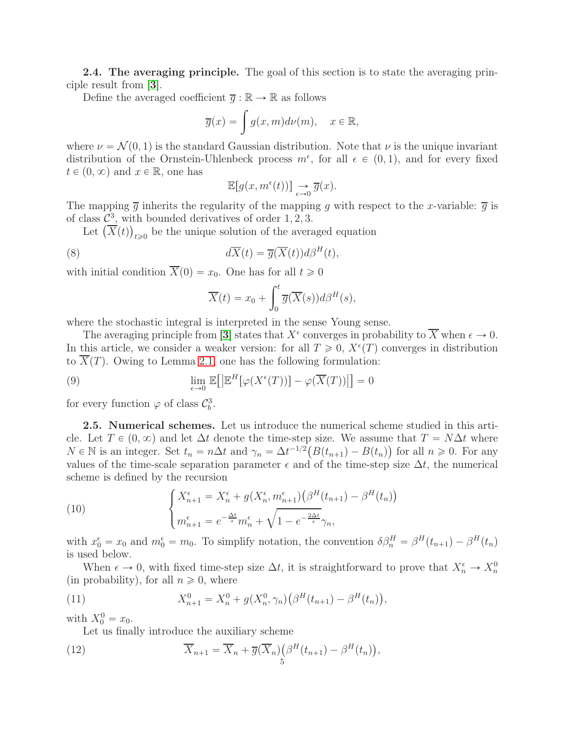<span id="page-4-0"></span>2.4. The averaging principle. The goal of this section is to state the averaging principle result from [[3](#page-19-3)].

Define the averaged coefficient  $\overline{q} : \mathbb{R} \to \mathbb{R}$  as follows

$$
\overline{g}(x) = \int g(x, m) d\nu(m), \quad x \in \mathbb{R},
$$

where  $\nu = \mathcal{N}(0, 1)$  is the standard Gaussian distribution. Note that  $\nu$  is the unique invariant distribution of the Ornstein-Uhlenbeck process  $m^{\epsilon}$ , for all  $\epsilon \in (0, 1)$ , and for every fixed  $t \in (0, \infty)$  and  $x \in \mathbb{R}$ , one has

$$
\mathbb{E}[g(x, m^{\epsilon}(t))] \underset{\epsilon \to 0}{\to} \overline{g}(x).
$$

The mapping  $\overline{g}$  inherits the regularity of the mapping g with respect to the x-variable:  $\overline{g}$  is of class  $\mathcal{C}^3$ , with bounded derivatives of order 1, 2, 3.

Let  $(\overline{X}(t))_{t\geqslant0}$  be the unique solution of the averaged equation

(8) 
$$
d\overline{X}(t) = \overline{g}(\overline{X}(t))d\beta^H(t),
$$

with initial condition  $\overline{X}(0) = x_0$ . One has for all  $t \ge 0$ 

<span id="page-4-6"></span><span id="page-4-3"></span>
$$
\overline{X}(t) = x_0 + \int_0^t \overline{g}(\overline{X}(s))d\beta^H(s),
$$

where the stochastic integral is interpreted in the sense Young sense.

The averaging principle from [[3](#page-19-3)] states that  $X^{\epsilon}$  converges in probability to  $\overline{X}$  when  $\epsilon \to 0$ . In this article, we consider a weaker version: for all  $T \geq 0$ ,  $X^{\epsilon}(T)$  converges in distribution to  $\overline{X}(T)$ . Owing to Lemma [2.1,](#page-3-1) one has the following formulation:

(9) 
$$
\lim_{\epsilon \to 0} \mathbb{E} \big[ \big| \mathbb{E}^H [\varphi(X^{\epsilon}(T))] - \varphi(\overline{X}(T)) \big] \big] = 0
$$

<span id="page-4-1"></span>for every function  $\varphi$  of class  $\mathcal{C}_b^3$ .

2.5. Numerical schemes. Let us introduce the numerical scheme studied in this article. Let  $T \in (0, \infty)$  and let  $\Delta t$  denote the time-step size. We assume that  $T = N\Delta t$  where  $N \in \mathbb{N}$  is an integer. Set  $t_n = n\Delta t$  and  $\gamma_n = \Delta t^{-1/2} (B(t_{n+1}) - B(t_n))$  for all  $n \geq 0$ . For any values of the time-scale separation parameter  $\epsilon$  and of the time-step size  $\Delta t$ , the numerical scheme is defined by the recursion

<span id="page-4-4"></span>(10) 
$$
\begin{cases} X_{n+1}^{\epsilon} = X_n^{\epsilon} + g(X_n^{\epsilon}, m_{n+1}^{\epsilon}) \left( \beta^H(t_{n+1}) - \beta^H(t_n) \right) \\ m_{n+1}^{\epsilon} = e^{-\frac{\Delta t}{\epsilon}} m_n^{\epsilon} + \sqrt{1 - e^{-\frac{2\Delta t}{\epsilon}}} \gamma_n, \end{cases}
$$

with  $x_0^{\epsilon} = x_0$  and  $m_0^{\epsilon} = m_0$ . To simplify notation, the convention  $\delta \beta_n^H = \beta^H(t_{n+1}) - \beta^H(t_n)$ is used below.

When  $\epsilon \to 0$ , with fixed time-step size  $\Delta t$ , it is straightforward to prove that  $X_n^{\epsilon} \to X_n^0$ (in probability), for all  $n \geq 0$ , where

(11) 
$$
X_{n+1}^0 = X_n^0 + g(X_n^0, \gamma_n) \left( \beta^H(t_{n+1}) - \beta^H(t_n) \right),
$$

with  $X_0^0 = x_0$ .

<span id="page-4-5"></span><span id="page-4-2"></span>Let us finally introduce the auxiliary scheme

(12) 
$$
\overline{X}_{n+1} = \overline{X}_n + \overline{g}(\overline{X}_n) \left( \beta^H(t_{n+1}) - \beta^H(t_n) \right),
$$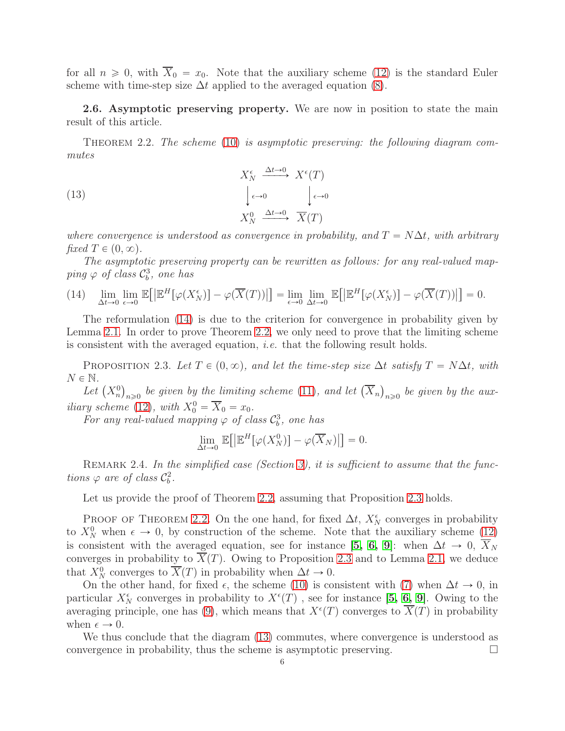for all  $n \geq 0$ , with  $\overline{X}_0 = x_0$ . Note that the auxiliary scheme [\(12\)](#page-4-2) is the standard Euler scheme with time-step size  $\Delta t$  applied to the averaged equation [\(8\)](#page-4-3).

<span id="page-5-1"></span>2.6. Asymptotic preserving property. We are now in position to state the main result of this article.

<span id="page-5-0"></span>THEOREM 2.2. The scheme  $(10)$  is asymptotic preserving: the following diagram commutes

<span id="page-5-4"></span>(13) 
$$
X_N^{\epsilon} \xrightarrow{\Delta t \to 0} X^{\epsilon}(T)
$$

$$
\downarrow_{\epsilon \to 0} \qquad \downarrow_{\epsilon \to 0}
$$

$$
X_N^0 \xrightarrow{\Delta t \to 0} \overline{X}(T)
$$

where convergence is understood as convergence in probability, and  $T = N\Delta t$ , with arbitrary fixed  $T \in (0, \infty)$ .

The asymptotic preserving property can be rewritten as follows: for any real-valued map $ping \varphi$  of class  $\mathcal{C}^3_b$ , one has

<span id="page-5-2"></span>(14) 
$$
\lim_{\Delta t \to 0} \lim_{\epsilon \to 0} \mathbb{E}\big[\big|\mathbb{E}^H[\varphi(X_N^{\epsilon})] - \varphi(\overline{X}(T))\big|\big] = \lim_{\epsilon \to 0} \lim_{\Delta t \to 0} \mathbb{E}\big[\big|\mathbb{E}^H[\varphi(X_N^{\epsilon})] - \varphi(\overline{X}(T))\big|\big] = 0.
$$

The reformulation [\(14\)](#page-5-2) is due to the criterion for convergence in probability given by Lemma [2.1.](#page-3-1) In order to prove Theorem [2.2,](#page-5-0) we only need to prove that the limiting scheme is consistent with the averaged equation, i.e. that the following result holds.

<span id="page-5-3"></span>PROPOSITION 2.3. Let  $T \in (0, \infty)$ , and let the time-step size  $\Delta t$  satisfy  $T = N\Delta t$ , with  $N \in \mathbb{N}$ .

Let  $(X_n^0)_{n\geqslant 0}$  be given by the limiting scheme [\(11\)](#page-4-5), and let  $(\overline{X}_n)_{n\geqslant 0}$  be given by the aux-iliary scheme [\(12\)](#page-4-2), with  $X_0^0 = \overline{X}_0 = x_0$ .

For any real-valued mapping  $\varphi$  of class  $\mathcal{C}_b^3$ , one has

$$
\lim_{\Delta t \to 0} \mathbb{E}\big[ \big| \mathbb{E}^H[\varphi(X_N^0)] - \varphi(\overline{X}_N) \big| \big] = 0.
$$

REMARK 2.4. In the simplified case (Section [3\)](#page-6-0), it is sufficient to assume that the functions  $\varphi$  are of class  $\mathcal{C}_b^2$ .

Let us provide the proof of Theorem [2.2,](#page-5-0) assuming that Proposition [2.3](#page-5-3) holds.

PROOF OF THEOREM [2.2.](#page-5-0) On the one hand, for fixed  $\Delta t$ ,  $X_N^{\epsilon}$  converges in probability to  $X_N^0$  when  $\epsilon \to 0$ , by construction of the scheme. Note that the auxiliary scheme  $(12)$ is consistent with the averaged equation, see for instance [[5,](#page-19-10) [6,](#page-19-11) [9](#page-19-12)]: when  $\Delta t \to 0$ ,  $\overline{X}_N$ converges in probability to  $\overline{X}(T)$ . Owing to Proposition [2.3](#page-5-3) and to Lemma [2.1,](#page-3-1) we deduce that  $X_N^0$  converges to  $\overline{X}(T)$  in probability when  $\Delta t \to 0$ .

On the other hand, for fixed  $\epsilon$ , the scheme [\(10\)](#page-4-4) is consistent with [\(7\)](#page-3-3) when  $\Delta t \to 0$ , in particular  $X_N^{\epsilon}$  converges in probability to  $X^{\epsilon}(T)$ , see for instance [[5,](#page-19-10) [6,](#page-19-11) [9](#page-19-12)]. Owing to the averaging principle, one has [\(9\)](#page-4-6), which means that  $X^{\epsilon}(T)$  converges to  $\overline{X}(T)$  in probability when  $\epsilon \rightarrow 0$ .

We thus conclude that the diagram [\(13\)](#page-5-4) commutes, where convergence is understood as convergence in probability, thus the scheme is asymptotic preserving.  $\Box$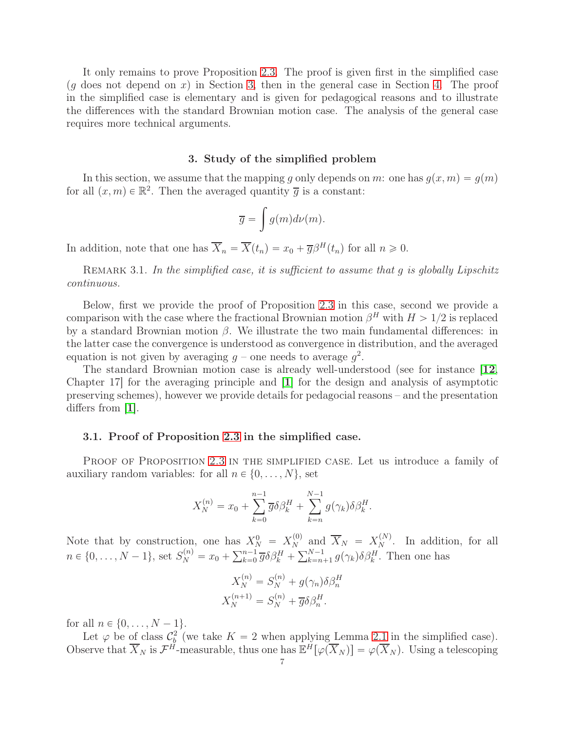It only remains to prove Proposition [2.3.](#page-5-3) The proof is given first in the simplified case  $(g \text{ does not depend on } x)$  in Section [3,](#page-6-0) then in the general case in Section [4.](#page-9-0) The proof in the simplified case is elementary and is given for pedagogical reasons and to illustrate the differences with the standard Brownian motion case. The analysis of the general case requires more technical arguments.

#### 3. Study of the simplified problem

<span id="page-6-0"></span>In this section, we assume that the mapping g only depends on m: one has  $g(x, m) = g(m)$ for all  $(x, m) \in \mathbb{R}^2$ . Then the averaged quantity  $\overline{g}$  is a constant:

$$
\overline{g} = \int g(m)d\nu(m).
$$

In addition, note that one has  $\overline{X}_n = \overline{X}(t_n) = x_0 + \overline{g} \beta^H(t_n)$  for all  $n \geq 0$ .

REMARK 3.1. In the simplified case, it is sufficient to assume that q is globally Lipschitz continuous.

Below, first we provide the proof of Proposition [2.3](#page-5-3) in this case, second we provide a comparison with the case where the fractional Brownian motion  $\beta^H$  with  $H > 1/2$  is replaced by a standard Brownian motion  $\beta$ . We illustrate the two main fundamental differences: in the latter case the convergence is understood as convergence in distribution, and the averaged equation is not given by averaging  $g$  – one needs to average  $g^2$ .

The standard Brownian motion case is already well-understood (see for instance [[12](#page-19-8), Chapter [1](#page-19-9)7 for the averaging principle and  $|1|$  for the design and analysis of asymptotic preserving schemes), however we provide details for pedagocial reasons – and the presentation differs from  $|1|$  $|1|$  $|1|$ .

# 3.1. Proof of Proposition [2.3](#page-5-3) in the simplified case.

PROOF OF PROPOSITION [2.3](#page-5-3) IN THE SIMPLIFIED CASE. Let us introduce a family of auxiliary random variables: for all  $n \in \{0, \ldots, N\}$ , set

$$
X_N^{(n)} = x_0 + \sum_{k=0}^{n-1} \overline{g} \delta \beta_k^H + \sum_{k=n}^{N-1} g(\gamma_k) \delta \beta_k^H.
$$

Note that by construction, one has  $X_N^0 = X_N^{(0)}$  and  $\overline{X}_N = X_N^{(N)}$ . In addition, for all  $n \in \{0, ..., N-1\}$ , set  $S_N^{(n)} = x_0 + \sum_{k=0}^{n-1} \overline{g} \delta \beta_k^H + \sum_{k=n+1}^{N-1} g(\gamma_k) \delta \beta_k^H$ . Then one has

$$
X_N^{(n)} = S_N^{(n)} + g(\gamma_n)\delta\beta_n^H
$$
  

$$
X_N^{(n+1)} = S_N^{(n)} + \overline{g}\delta\beta_n^H.
$$

for all  $n \in \{0, ..., N - 1\}$ .

Let  $\varphi$  be of class  $\mathcal{C}_{b}^{2}$  (we take  $K = 2$  when applying Lemma [2.1](#page-3-1) in the simplified case). Observe that  $\overline{X}_N$  is  $\mathcal{F}^H$ -measurable, thus one has  $\mathbb{E}^H[\varphi(\overline{X}_N)] = \varphi(\overline{X}_N)$ . Using a telescoping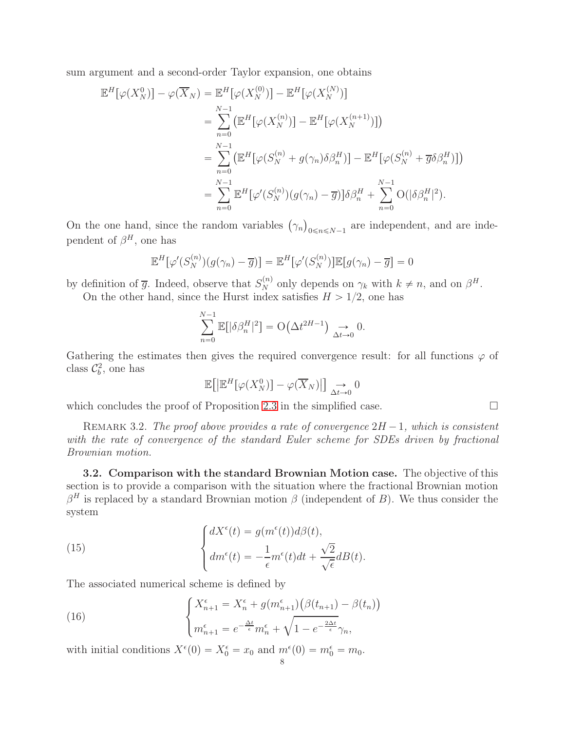sum argument and a second-order Taylor expansion, one obtains

$$
\mathbb{E}^{H}[\varphi(X_{N}^{0})] - \varphi(\overline{X}_{N}) = \mathbb{E}^{H}[\varphi(X_{N}^{(0)})] - \mathbb{E}^{H}[\varphi(X_{N}^{(N)})]
$$
\n
$$
= \sum_{n=0}^{N-1} (\mathbb{E}^{H}[\varphi(X_{N}^{(n)})] - \mathbb{E}^{H}[\varphi(X_{N}^{(n+1)})])
$$
\n
$$
= \sum_{n=0}^{N-1} (\mathbb{E}^{H}[\varphi(S_{N}^{(n)} + g(\gamma_{n})\delta\beta_{n}^{H})] - \mathbb{E}^{H}[\varphi(S_{N}^{(n)} + \overline{g}\delta\beta_{n}^{H})])
$$
\n
$$
= \sum_{n=0}^{N-1} \mathbb{E}^{H}[\varphi'(S_{N}^{(n)}) (g(\gamma_{n}) - \overline{g})]\delta\beta_{n}^{H} + \sum_{n=0}^{N-1} O(|\delta\beta_{n}^{H}|^{2}).
$$

On the one hand, since the random variables  $(\gamma_n)_{0 \le n \le N-1}$  are independent, and are independent of  $\beta^H$ , one has

$$
\mathbb{E}^H[\varphi'(S_N^{(n)})(g(\gamma_n)-\overline{g})] = \mathbb{E}^H[\varphi'(S_N^{(n)})]\mathbb{E}[g(\gamma_n)-\overline{g}] = 0
$$

by definition of  $\overline{g}$ . Indeed, observe that  $S_N^{(n)}$  only depends on  $\gamma_k$  with  $k \neq n$ , and on  $\beta^H$ .

On the other hand, since the Hurst index satisfies  $H > 1/2$ , one has

$$
\sum_{n=0}^{N-1} \mathbb{E}[|\delta \beta_n^H|^2] = \mathcal{O}\big(\Delta t^{2H-1}\big) \underset{\Delta t \to 0}{\longrightarrow} 0.
$$

Gathering the estimates then gives the required convergence result: for all functions  $\varphi$  of class  $\mathcal{C}_b^2$ , one has

$$
\mathbb{E}\big[\big|\mathbb{E}^H[\varphi(X_N^0)\big] - \varphi(\overline{X}_N)\big|\big] \underset{\Delta t \to 0}{\to} 0
$$

which concludes the proof of Proposition [2.3](#page-5-3) in the simplified case.  $\Box$ 

REMARK 3.2. The proof above provides a rate of convergence  $2H - 1$ , which is consistent with the rate of convergence of the standard Euler scheme for SDEs driven by fractional Brownian motion.

<span id="page-7-0"></span>3.2. Comparison with the standard Brownian Motion case. The objective of this section is to provide a comparison with the situation where the fractional Brownian motion  $\beta^H$  is replaced by a standard Brownian motion  $\beta$  (independent of B). We thus consider the system

(15) 
$$
\begin{cases} dX^{\epsilon}(t) = g(m^{\epsilon}(t))d\beta(t), \\ dm^{\epsilon}(t) = -\frac{1}{\epsilon}m^{\epsilon}(t)dt + \frac{\sqrt{2}}{\sqrt{\epsilon}}dB(t). \end{cases}
$$

The associated numerical scheme is defined by

<span id="page-7-1"></span>(16) 
$$
\begin{cases} X_{n+1}^{\epsilon} = X_n^{\epsilon} + g(m_{n+1}^{\epsilon}) \left( \beta(t_{n+1}) - \beta(t_n) \right) \\ m_{n+1}^{\epsilon} = e^{-\frac{\Delta t}{\epsilon}} m_n^{\epsilon} + \sqrt{1 - e^{-\frac{2\Delta t}{\epsilon}}} \gamma_n, \end{cases}
$$

with initial conditions  $X^{\epsilon}(0) = X_0^{\epsilon} = x_0$  and  $m^{\epsilon}(0) = m_0^{\epsilon} = m_0$ .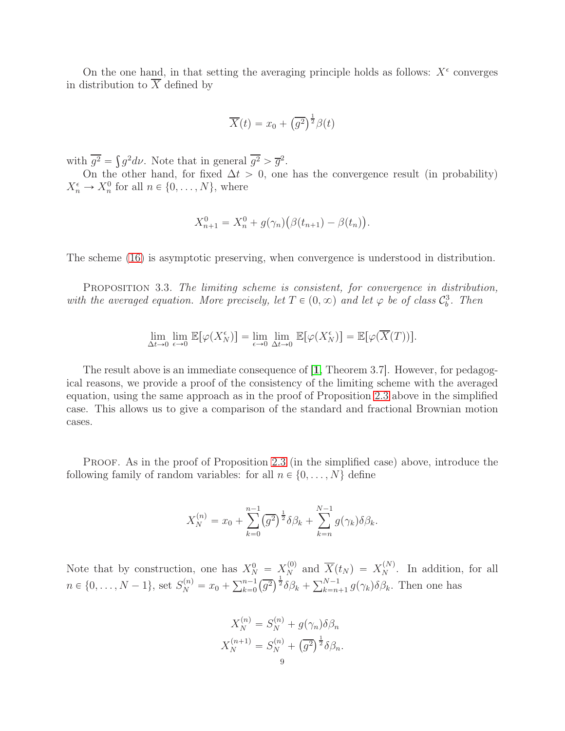On the one hand, in that setting the averaging principle holds as follows:  $X^{\epsilon}$  converges in distribution to  $\overline{X}$  defined by

$$
\overline{X}(t) = x_0 + \left(\overline{g^2}\right)^{\frac{1}{2}} \beta(t)
$$

with  $\overline{g^2} = \int g^2 d\nu$ . Note that in general  $\overline{g^2} > \overline{g}^2$ .

On the other hand, for fixed  $\Delta t > 0$ , one has the convergence result (in probability)  $X_n^{\epsilon} \to X_n^0$  for all  $n \in \{0, \ldots, N\}$ , where

$$
X_{n+1}^{0} = X_{n}^{0} + g(\gamma_{n}) (\beta(t_{n+1}) - \beta(t_{n})).
$$

The scheme [\(16\)](#page-7-1) is asymptotic preserving, when convergence is understood in distribution.

PROPOSITION 3.3. The limiting scheme is consistent, for convergence in distribution, with the averaged equation. More precisely, let  $T \in (0, \infty)$  and let  $\varphi$  be of class  $\mathcal{C}_b^3$ . Then

$$
\lim_{\Delta t \to 0} \lim_{\epsilon \to 0} \mathbb{E}[\varphi(X_N^{\epsilon})] = \lim_{\epsilon \to 0} \lim_{\Delta t \to 0} \mathbb{E}[\varphi(X_N^{\epsilon})] = \mathbb{E}[\varphi(\overline{X}(T))].
$$

The result above is an immediate consequence of [[1](#page-19-9), Theorem 3.7]. However, for pedagogical reasons, we provide a proof of the consistency of the limiting scheme with the averaged equation, using the same approach as in the proof of Proposition [2.3](#page-5-3) above in the simplified case. This allows us to give a comparison of the standard and fractional Brownian motion cases.

PROOF. As in the proof of Proposition [2.3](#page-5-3) (in the simplified case) above, introduce the following family of random variables: for all  $n \in \{0, \ldots, N\}$  define

$$
X_N^{(n)} = x_0 + \sum_{k=0}^{n-1} (\overline{g^2})^{\frac{1}{2}} \delta \beta_k + \sum_{k=n}^{N-1} g(\gamma_k) \delta \beta_k.
$$

Note that by construction, one has  $X_N^0 = X_N^{(0)}$  and  $\overline{X}(t_N) = X_N^{(N)}$ . In addition, for all  $n \in \{0, \ldots, N-1\}$ , set  $S_N^{(n)} = x_0 + \sum_{k=0}^{n-1} (\overline{g^2})^{\frac{1}{2}} \delta \beta_k + \sum_{k=n+1}^{N-1} g(\gamma_k) \delta \beta_k$ . Then one has

$$
X_N^{(n)} = S_N^{(n)} + g(\gamma_n)\delta\beta_n
$$
  

$$
X_N^{(n+1)} = S_N^{(n)} + \left(\overline{g^2}\right)^{\frac{1}{2}} \delta\beta_n.
$$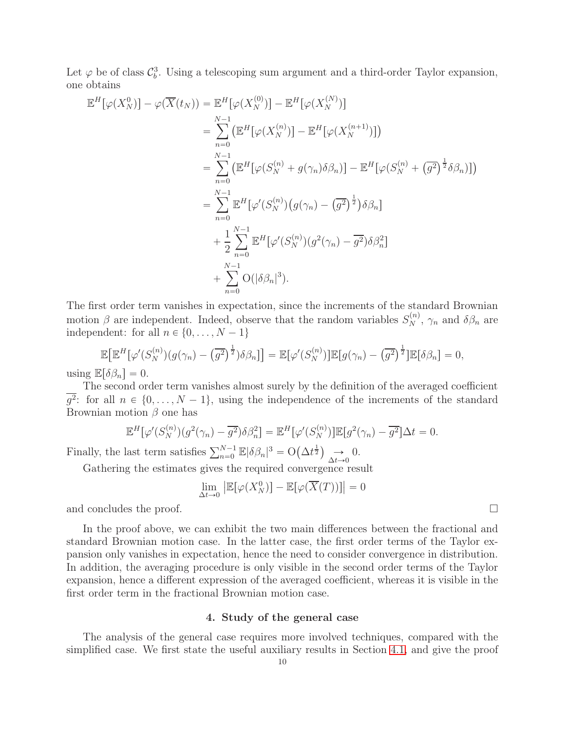Let  $\varphi$  be of class  $\mathcal{C}_b^3$ . Using a telescoping sum argument and a third-order Taylor expansion, one obtains

$$
\mathbb{E}^{H}[\varphi(X_{N}^{0})] - \varphi(\overline{X}(t_{N})) = \mathbb{E}^{H}[\varphi(X_{N}^{(0)})] - \mathbb{E}^{H}[\varphi(X_{N}^{(N)})]
$$
\n
$$
= \sum_{n=0}^{N-1} (\mathbb{E}^{H}[\varphi(X_{N}^{(n)})] - \mathbb{E}^{H}[\varphi(X_{N}^{(n+1)})])
$$
\n
$$
= \sum_{n=0}^{N-1} (\mathbb{E}^{H}[\varphi(S_{N}^{(n)} + g(\gamma_{n})\delta\beta_{n})] - \mathbb{E}^{H}[\varphi(S_{N}^{(n)} + (\overline{g^{2}})^{\frac{1}{2}}\delta\beta_{n})])
$$
\n
$$
= \sum_{n=0}^{N-1} \mathbb{E}^{H}[\varphi'(S_{N}^{(n)}) (g(\gamma_{n}) - (\overline{g^{2}})^{\frac{1}{2}})\delta\beta_{n}]
$$
\n
$$
+ \frac{1}{2} \sum_{n=0}^{N-1} \mathbb{E}^{H}[\varphi'(S_{N}^{(n)}) (g^{2}(\gamma_{n}) - \overline{g^{2}})\delta\beta_{n}^{2}]
$$
\n
$$
+ \sum_{n=0}^{N-1} \mathcal{O}(|\delta\beta_{n}|^{3}).
$$

The first order term vanishes in expectation, since the increments of the standard Brownian motion  $\beta$  are independent. Indeed, observe that the random variables  $S_N^{(n)}$ ,  $\gamma_n$  and  $\delta\beta_n$  are independent: for all  $n \in \{0, \ldots, N - 1\}$ 

$$
\mathbb{E}\big[\mathbb{E}^H[\varphi'(S_N^{(n)})(g(\gamma_n)-\overline{(g^2)}^{\frac{1}{2}})\delta\beta_n]\big] = \mathbb{E}[\varphi'(S_N^{(n)})]\mathbb{E}[g(\gamma_n)-\overline{(g^2)}^{\frac{1}{2}}]\mathbb{E}[\delta\beta_n] = 0,
$$
  

$$
\mathbb{E}[\delta\beta_n] = 0.
$$

using  $\mathbb{E}[\delta \beta_n]$ 

The second order term vanishes almost surely by the definition of the averaged coefficient  $g^2$ : for all  $n \in \{0, ..., N-1\}$ , using the independence of the increments of the standard Brownian motion  $\beta$  one has

$$
\mathbb{E}^H[\varphi'(S_N^{(n)})(g^2(\gamma_n) - \overline{g^2})\delta\beta_n^2] = \mathbb{E}^H[\varphi'(S_N^{(n)})]\mathbb{E}[g^2(\gamma_n) - \overline{g^2}]\Delta t = 0.
$$

Finally, the last term satisfies  $\sum_{n=0}^{N-1} \mathbb{E}|\delta \beta_n|^3 = O(\Delta t^{\frac{1}{2}}) \longrightarrow_{\Delta t \to 0} 0$ .

Gathering the estimates gives the required convergence result

$$
\lim_{\Delta t \to 0} \left| \mathbb{E}[\varphi(X_N^0)] - \mathbb{E}[\varphi(\overline{X}(T))] \right| = 0
$$

and concludes the proof.

In the proof above, we can exhibit the two main differences between the fractional and standard Brownian motion case. In the latter case, the first order terms of the Taylor expansion only vanishes in expectation, hence the need to consider convergence in distribution. In addition, the averaging procedure is only visible in the second order terms of the Taylor expansion, hence a different expression of the averaged coefficient, whereas it is visible in the first order term in the fractional Brownian motion case.

#### 4. Study of the general case

<span id="page-9-0"></span>The analysis of the general case requires more involved techniques, compared with the simplified case. We first state the useful auxiliary results in Section [4.1,](#page-10-0) and give the proof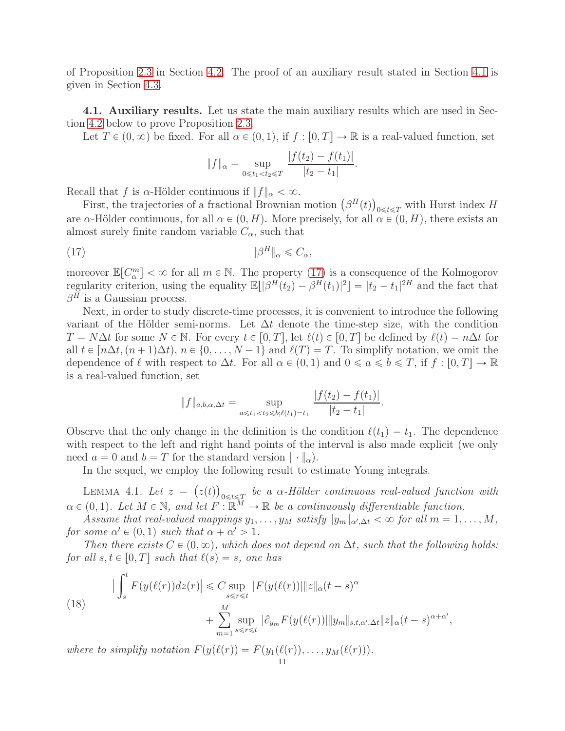of Proposition [2.3](#page-5-3) in Section [4.2.](#page-12-0) The proof of an auxiliary result stated in Section [4.1](#page-10-0) is given in Section [4.3.](#page-13-0)

<span id="page-10-0"></span>4.1. Auxiliary results. Let us state the main auxiliary results which are used in Section [4.2](#page-12-0) below to prove Proposition [2.3.](#page-5-3)

Let  $T \in (0, \infty)$  be fixed. For all  $\alpha \in (0, 1)$ , if  $f : [0, T] \to \mathbb{R}$  is a real-valued function, set

<span id="page-10-1"></span>
$$
||f||_{\alpha} = \sup_{0 \leq t_1 < t_2 \leq T} \frac{|f(t_2) - f(t_1)|}{|t_2 - t_1|}.
$$

Recall that f is  $\alpha$ -Hölder continuous if  $||f||_{\alpha} < \infty$ .

First, the trajectories of a fractional Brownian motion  $(\beta^H(t))_{0 \leq t \leq T}$  with Hurst index H are  $\alpha$ -Hölder continuous, for all  $\alpha \in (0, H)$ . More precisely, for all  $\alpha \in (0, H)$ , there exists an almost surely finite random variable  $C_{\alpha}$ , such that

(17) }β <sup>H</sup>}<sup>α</sup> <sup>ď</sup> <sup>C</sup>α,

moreover  $\mathbb{E}[C_{\alpha}^{m}] < \infty$  for all  $m \in \mathbb{N}$ . The property [\(17\)](#page-10-1) is a consequence of the Kolmogorov regularity criterion, using the equality  $\mathbb{E}[|\beta^H(t_2) - \beta^H(t_1)|^2] = |t_2 - t_1|^{2H}$  and the fact that  $\beta^H$  is a Gaussian process.

Next, in order to study discrete-time processes, it is convenient to introduce the following variant of the Hölder semi-norms. Let  $\Delta t$  denote the time-step size, with the condition  $T = N\Delta t$  for some  $N \in \mathbb{N}$ . For every  $t \in [0, T]$ , let  $\ell(t) \in [0, T]$  be defined by  $\ell(t) = n\Delta t$  for all  $t \in [n\Delta t, (n+1)\Delta t), n \in \{0, ..., N-1\}$  and  $\ell(T) = T$ . To simplify notation, we omit the dependence of  $\ell$  with respect to  $\Delta t$ . For all  $\alpha \in (0, 1)$  and  $0 \leq a \leq b \leq T$ , if  $f : [0, T] \to \mathbb{R}$ is a real-valued function, set

$$
||f||_{a,b,\alpha,\Delta t} = \sup_{a \leq t_1 < t_2 \leq b;\ell(t_1) = t_1} \frac{|f(t_2) - f(t_1)|}{|t_2 - t_1|}.
$$

Observe that the only change in the definition is the condition  $\ell(t_1) = t_1$ . The dependence with respect to the left and right hand points of the interval is also made explicit (we only need  $a = 0$  and  $b = T$  for the standard version  $\|\cdot\|_{\alpha}$ .

In the sequel, we employ the following result to estimate Young integrals.

<span id="page-10-2"></span>LEMMA 4.1. Let  $z = (z(t))_{0 \leq t \leq T}$  be a  $\alpha$ -Hölder continuous real-valued function with  $\alpha \in (0, 1)$ . Let  $M \in \mathbb{N}$ , and let  $F : \mathbb{R}^M \to \mathbb{R}$  be a continuously differentiable function.

Assume that real-valued mappings  $y_1, \ldots, y_M$  satisfy  $||y_m||_{\alpha', \Delta t} < \infty$  for all  $m = 1, \ldots, M$ , for some  $\alpha' \in (0, 1)$  such that  $\alpha + \alpha' > 1$ .

Then there exists  $C \in (0, \infty)$ , which does not depend on  $\Delta t$ , such that the following holds: for all  $s, t \in [0, T]$  such that  $\ell(s) = s$ , one has

(18) 
$$
\left| \int_{s}^{t} F(y(\ell(r))dz(r)) \right| \leq C \sup_{s \leq r \leq t} |F(y(\ell(r))||z||_{\alpha}(t-s)^{\alpha} + \sum_{m=1}^{M} \sup_{s \leq r \leq t} |\partial_{y_{m}} F(y(\ell(r))||y_{m}||_{s,t,\alpha',\Delta t} ||z||_{\alpha}(t-s)^{\alpha+\alpha'},
$$

where to simplify notation  $F(y(\ell(r))) = F(y_1(\ell(r)), \ldots, y_M(\ell(r))).$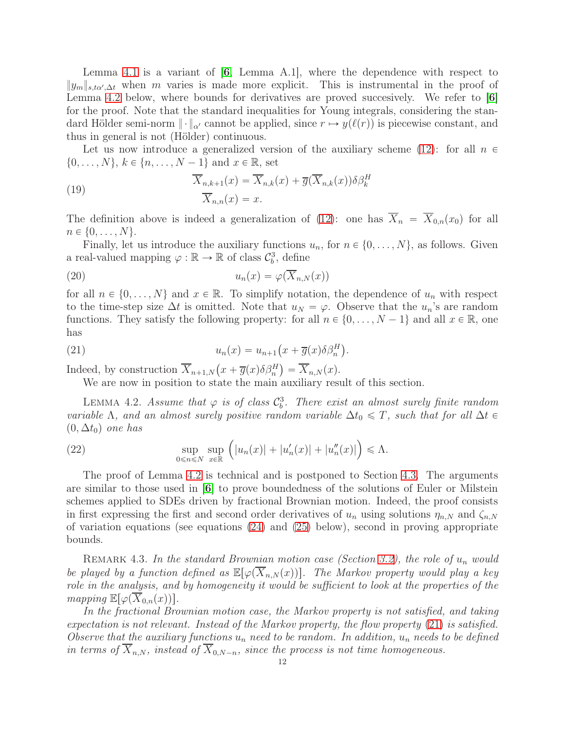Lemma [4.1](#page-10-2) is a variant of  $[6, \text{ Lemma A.1}],$  $[6, \text{ Lemma A.1}],$  $[6, \text{ Lemma A.1}],$  where the dependence with respect to  $\|y_m\|_{s,t\alpha',\Delta t}$  when m varies is made more explicit. This is instrumental in the proof of Lemma [4.2](#page-11-0) below, where bounds for derivatives are proved succesively. We refer to [[6](#page-19-11)] for the proof. Note that the standard inequalities for Young integrals, considering the standard Hölder semi-norm  $\|\cdot\|_{\alpha'}$  cannot be applied, since  $r \mapsto y(\ell(r))$  is piecewise constant, and thus in general is not (Hölder) continuous.

Let us now introduce a generalized version of the auxiliary scheme [\(12\)](#page-4-2): for all  $n \in$  $\{0, \ldots, N\}, k \in \{n, \ldots, N - 1\}$  and  $x \in \mathbb{R}$ , set

(19) 
$$
\overline{X}_{n,k+1}(x) = \overline{X}_{n,k}(x) + \overline{g}(\overline{X}_{n,k}(x))\delta \beta_k^H
$$

$$
\overline{X}_{n,n}(x) = x.
$$

The definition above is indeed a generalization of [\(12\)](#page-4-2): one has  $\overline{X}_n = \overline{X}_{0,n}(x_0)$  for all  $n \in \{0, \ldots, N\}.$ 

Finally, let us introduce the auxiliary functions  $u_n$ , for  $n \in \{0, \ldots, N\}$ , as follows. Given a real-valued mapping  $\varphi : \mathbb{R} \to \mathbb{R}$  of class  $\mathcal{C}_b^3$ , define

<span id="page-11-2"></span>(20) 
$$
u_n(x) = \varphi(\overline{X}_{n,N}(x))
$$

for all  $n \in \{0, \ldots, N\}$  and  $x \in \mathbb{R}$ . To simplify notation, the dependence of  $u_n$  with respect to the time-step size  $\Delta t$  is omitted. Note that  $u_N = \varphi$ . Observe that the  $u_n$ 's are random functions. They satisfy the following property: for all  $n \in \{0, \ldots, N-1\}$  and all  $x \in \mathbb{R}$ , one has

(21) 
$$
u_n(x) = u_{n+1}\left(x + \overline{g}(x)\delta\beta_n^H\right).
$$

Indeed, by construction  $\overline{X}_{n+1,N} \big( x + \overline{g}(x) \delta \beta_n^H \big) = \overline{X}_{n,N} (x)$ .

<span id="page-11-1"></span>We are now in position to state the main auxiliary result of this section.

<span id="page-11-0"></span>LEMMA 4.2. Assume that  $\varphi$  is of class  $\mathcal{C}_b^3$ . There exist an almost surely finite random variable  $\Lambda$ , and an almost surely positive random variable  $\Delta t_0 \leq T$ , such that for all  $\Delta t \in$  $(0, \Delta t_0)$  one has

<span id="page-11-3"></span>(22) 
$$
\sup_{0 \le n \le N} \sup_{x \in \mathbb{R}} \left( |u_n(x)| + |u'_n(x)| + |u''_n(x)| \right) \le \Lambda.
$$

The proof of Lemma [4.2](#page-11-0) is technical and is postponed to Section [4.3.](#page-13-0) The arguments are similar to those used in [[6](#page-19-11)] to prove boundedness of the solutions of Euler or Milstein schemes applied to SDEs driven by fractional Brownian motion. Indeed, the proof consists in first expressing the first and second order derivatives of  $u_n$  using solutions  $\eta_{n,N}$  and  $\zeta_{n,N}$ of variation equations (see equations [\(24\)](#page-13-1) and [\(25\)](#page-13-2) below), second in proving appropriate bounds.

REMARK 4.3. In the standard Brownian motion case (Section [3.2\)](#page-7-0), the role of  $u_n$  would be played by a function defined as  $\mathbb{E}[\varphi(X_{n,N}(x))]$ . The Markov property would play a key role in the analysis, and by homogeneity it would be sufficient to look at the properties of the mapping  $\mathbb{E}[\varphi(X_{0,n}(x))]$ .

In the fractional Brownian motion case, the Markov property is not satisfied, and taking expectation is not relevant. Instead of the Markov property, the flow property [\(21\)](#page-11-1) is satisfied. Observe that the auxiliary functions  $u_n$  need to be random. In addition,  $u_n$  needs to be defined in terms of  $\overline{X}_{n,N}$ , instead of  $\overline{X}_{0,N-n}$ , since the process is not time homogeneous.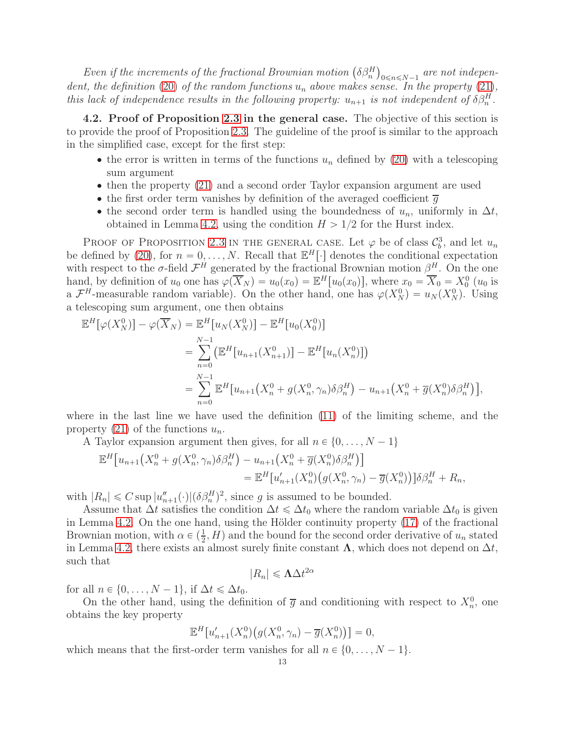Even if the increments of the fractional Brownian motion  $(\delta \beta^H_n)_{0 \le n \le N-1}$  are not indepen-dent, the definition [\(20\)](#page-11-2) of the random functions  $u_n$  above makes sense. In the property [\(21\)](#page-11-1), this lack of independence results in the following property:  $u_{n+1}$  is not independent of  $\delta \beta_n^H$ .

<span id="page-12-0"></span>4.2. Proof of Proposition [2.3](#page-5-3) in the general case. The objective of this section is to provide the proof of Proposition [2.3.](#page-5-3) The guideline of the proof is similar to the approach in the simplified case, except for the first step:

- the error is written in terms of the functions  $u_n$  defined by [\(20\)](#page-11-2) with a telescoping sum argument
- ' then the property [\(21\)](#page-11-1) and a second order Taylor expansion argument are used
- the first order term vanishes by definition of the averaged coefficient  $\overline{g}$
- the second order term is handled using the boundedness of  $u_n$ , uniformly in  $\Delta t$ , obtained in Lemma [4.2,](#page-11-0) using the condition  $H > 1/2$  for the Hurst index.

PROOF OF PROPOSITION [2.3](#page-5-3) IN THE GENERAL CASE. Let  $\varphi$  be of class  $\mathcal{C}_b^3$ , and let  $u_n$ be defined by [\(20\)](#page-11-2), for  $n = 0, \ldots, N$ . Recall that  $\mathbb{E}^H[\cdot]$  denotes the conditional expectation with respect to the  $\sigma$ -field  $\mathcal{F}^H$  generated by the fractional Brownian motion  $\beta^H$ . On the one hand, by definition of  $u_0$  one has  $\varphi(\overline{X}_N) = u_0(x_0) = \mathbb{E}^H[u_0(x_0)]$ , where  $x_0 = \overline{X}_0 = X_0^0(u_0)$  is a  $\mathcal{F}^H$ -measurable random variable). On the other hand, one has  $\varphi(X_N^0) = u_N(X_N^0)$ . Using a telescoping sum argument, one then obtains

$$
\mathbb{E}^{H}[\varphi(X_{N}^{0})] - \varphi(\overline{X}_{N}) = \mathbb{E}^{H}[u_{N}(X_{N}^{0})] - \mathbb{E}^{H}[u_{0}(X_{0}^{0})]
$$
  
\n
$$
= \sum_{n=0}^{N-1} (\mathbb{E}^{H}[u_{n+1}(X_{n+1}^{0})] - \mathbb{E}^{H}[u_{n}(X_{n}^{0})])
$$
  
\n
$$
= \sum_{n=0}^{N-1} \mathbb{E}^{H}[u_{n+1}(X_{n}^{0} + g(X_{n}^{0}, \gamma_{n})\delta\beta_{n}^{H}) - u_{n+1}(X_{n}^{0} + \overline{g}(X_{n}^{0})\delta\beta_{n}^{H})],
$$

where in the last line we have used the definition [\(11\)](#page-4-5) of the limiting scheme, and the property [\(21\)](#page-11-1) of the functions  $u_n$ .

A Taylor expansion argument then gives, for all  $n \in \{0, \ldots, N - 1\}$ 

$$
\mathbb{E}^{H}[u_{n+1}(X_{n}^{0} + g(X_{n}^{0}, \gamma_{n})\delta\beta_{n}^{H}) - u_{n+1}(X_{n}^{0} + \overline{g}(X_{n}^{0})\delta\beta_{n}^{H})] \n= \mathbb{E}^{H}[u'_{n+1}(X_{n}^{0})(g(X_{n}^{0}, \gamma_{n}) - \overline{g}(X_{n}^{0}))]\delta\beta_{n}^{H} + R_{n},
$$

with  $|R_n| \leq C \sup |u''_{n+1}(\cdot)|(\delta \beta_n^H)^2$ , since g is assumed to be bounded.

Assume that  $\Delta t$  satisfies the condition  $\Delta t \leq \Delta t_0$  where the random variable  $\Delta t_0$  is given in Lemma [4.2.](#page-11-0) On the one hand, using the Hölder continuity property [\(17\)](#page-10-1) of the fractional Brownian motion, with  $\alpha \in (\frac{1}{2}, H)$  and the bound for the second order derivative of  $u_n$  stated in Lemma [4.2,](#page-11-0) there exists an almost surely finite constant  $\Lambda$ , which does not depend on  $\Delta t$ , such that

$$
|R_n| \leq \Lambda \Delta t^{2\alpha}
$$

for all  $n \in \{0, \ldots, N - 1\}$ , if  $\Delta t \leq \Delta t_0$ .

On the other hand, using the definition of  $\overline{g}$  and conditioning with respect to  $X_n^0$ , one obtains the key property

$$
\mathbb{E}^H[u'_{n+1}(X_n^0)\big(g(X_n^0,\gamma_n)-\overline{g}(X_n^0)\big)\big]=0,
$$

which means that the first-order term vanishes for all  $n \in \{0, \ldots, N - 1\}$ .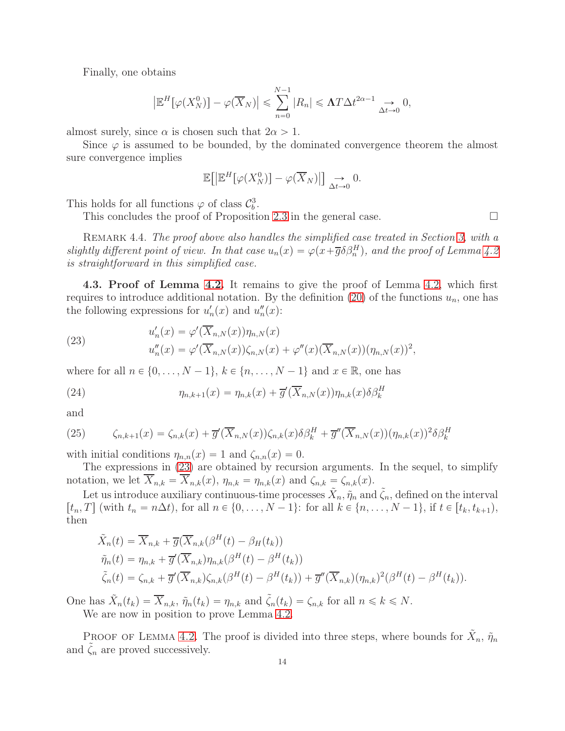Finally, one obtains

$$
\left|\mathbb{E}^H[\varphi(X_N^0)] - \varphi(\overline{X}_N)\right| \leq \sum_{n=0}^{N-1} |R_n| \leq \Lambda T \Delta t^{2\alpha - 1} \underset{\Delta t \to 0}{\longrightarrow} 0,
$$

almost surely, since  $\alpha$  is chosen such that  $2\alpha > 1$ .

Since  $\varphi$  is assumed to be bounded, by the dominated convergence theorem the almost sure convergence implies

$$
\mathbb{E}\big[\big|\mathbb{E}^H[\varphi(X_N^0)\big] - \varphi(\overline{X}_N)\big|\big] \underset{\Delta t \to 0}{\longrightarrow} 0.
$$

This holds for all functions  $\varphi$  of class  $\mathcal{C}_b^3$ .

This concludes the proof of Proposition [2.3](#page-5-3) in the general case.  $\Box$ 

REMARK 4.4. The proof above also handles the simplified case treated in Section [3,](#page-6-0) with a slightly different point of view. In that case  $u_n(x) = \varphi(x + \overline{g} \delta \beta_n^H)$ , and the proof of Lemma [4.2](#page-11-0) is straightforward in this simplified case.

<span id="page-13-0"></span>4.3. Proof of Lemma [4.2.](#page-11-0) It remains to give the proof of Lemma [4.2,](#page-11-0) which first requires to introduce additional notation. By the definition [\(20\)](#page-11-2) of the functions  $u_n$ , one has the following expressions for  $u'_n(x)$  and  $u''_n(x)$ :

<span id="page-13-3"></span>(23) 
$$
u'_{n}(x) = \varphi'(\overline{X}_{n,N}(x)) \eta_{n,N}(x) u''_{n}(x) = \varphi'(\overline{X}_{n,N}(x)) \zeta_{n,N}(x) + \varphi''(x) (\overline{X}_{n,N}(x)) (\eta_{n,N}(x))^{2},
$$

where for all  $n \in \{0, \ldots, N-1\}$ ,  $k \in \{n, \ldots, N-1\}$  and  $x \in \mathbb{R}$ , one has

<span id="page-13-1"></span>(24) 
$$
\eta_{n,k+1}(x) = \eta_{n,k}(x) + \overline{g}'(\overline{X}_{n,N}(x))\eta_{n,k}(x)\delta\beta_k^H
$$

and

<span id="page-13-2"></span>(25) 
$$
\zeta_{n,k+1}(x) = \zeta_{n,k}(x) + \overline{g}'(\overline{X}_{n,N}(x))\zeta_{n,k}(x)\delta\beta_k^H + \overline{g}''(\overline{X}_{n,N}(x))(\eta_{n,k}(x))^2\delta\beta_k^H
$$

with initial conditions  $\eta_{n,n}(x) = 1$  and  $\zeta_{n,n}(x) = 0$ .

The expressions in [\(23\)](#page-13-3) are obtained by recursion arguments. In the sequel, to simplify notation, we let  $\overline{X}_{n,k} = \overline{X}_{n,k}(x)$ ,  $\eta_{n,k} = \eta_{n,k}(x)$  and  $\zeta_{n,k} = \zeta_{n,k}(x)$ .

Let us introduce auxiliary continuous-time processes  $\tilde{X}_n$ ,  $\tilde{\eta}_n$  and  $\tilde{\zeta}_n$ , defined on the interval  $[t_n, T]$  (with  $t_n = n\Delta t$ ), for all  $n \in \{0, ..., N-1\}$ : for all  $k \in \{n, ..., N-1\}$ , if  $t \in [t_k, t_{k+1}),$ then

$$
\tilde{X}_n(t) = \overline{X}_{n,k} + \overline{g}(\overline{X}_{n,k}(\beta^H(t) - \beta_H(t_k))
$$
\n
$$
\tilde{\eta}_n(t) = \eta_{n,k} + \overline{g}'(\overline{X}_{n,k})\eta_{n,k}(\beta^H(t) - \beta^H(t_k))
$$
\n
$$
\tilde{\zeta}_n(t) = \zeta_{n,k} + \overline{g}'(\overline{X}_{n,k})\zeta_{n,k}(\beta^H(t) - \beta^H(t_k)) + \overline{g}''(\overline{X}_{n,k})(\eta_{n,k})^2(\beta^H(t) - \beta^H(t_k)).
$$

One has  $\tilde{X}_n(t_k) = \overline{X}_{n,k}, \tilde{\eta}_n(t_k) = \eta_{n,k}$  and  $\tilde{\zeta}_n(t_k) = \zeta_{n,k}$  for all  $n \leq k \leq N$ .

We are now in position to prove Lemma [4.2.](#page-11-0)

PROOF OF LEMMA [4.2.](#page-11-0) The proof is divided into three steps, where bounds for  $\tilde{X}_n$ ,  $\tilde{\eta}_n$ and  $\zeta_n$  are proved successively.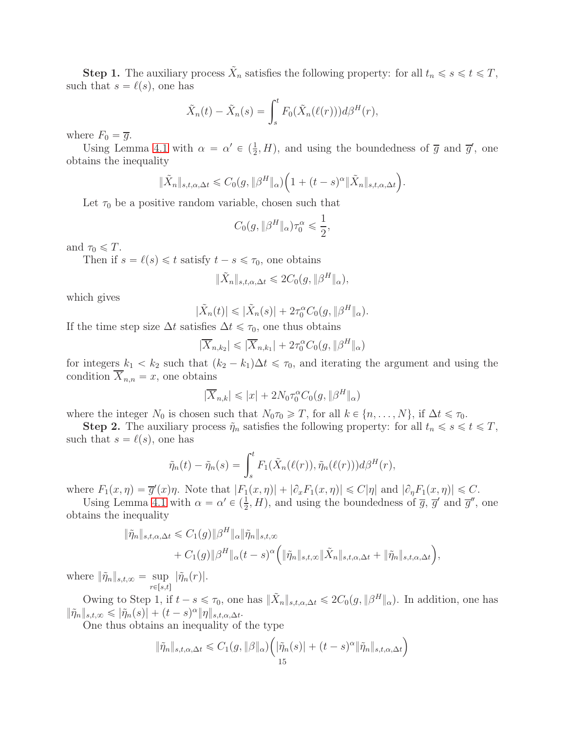**Step 1.** The auxiliary process  $\tilde{X}_n$  satisfies the following property: for all  $t_n \le s \le t \le T$ , such that  $s = \ell(s)$ , one has

$$
\tilde{X}_n(t) - \tilde{X}_n(s) = \int_s^t F_0(\tilde{X}_n(\ell(r))) d\beta^H(r),
$$

where  $F_0 = \overline{g}$ .

Using Lemma [4.1](#page-10-2) with  $\alpha = \alpha' \in (\frac{1}{2}, H)$ , and using the boundedness of  $\overline{g}$  and  $\overline{g}'$ , one obtains the inequality

$$
\|\tilde{X}_n\|_{s,t,\alpha,\Delta t} \leq C_0(g, \|\beta^H\|_{\alpha}) \Big(1 + (t-s)^{\alpha} \|\tilde{X}_n\|_{s,t,\alpha,\Delta t}\Big).
$$

Let  $\tau_0$  be a positive random variable, chosen such that

$$
C_0(g, \|\beta^H\|_{\alpha})\tau_0^{\alpha} \leq \frac{1}{2},
$$

and  $\tau_0 \leq T$ .

Then if  $s = \ell(s) \leq t$  satisfy  $t - s \leq \tau_0$ , one obtains

$$
\|\tilde{X}_n\|_{s,t,\alpha,\Delta t} \leq 2C_0(g, \|\beta^H\|_{\alpha}),
$$

which gives

$$
|\tilde{X}_n(t)| \leq |\tilde{X}_n(s)| + 2\tau_0^{\alpha} C_0(g, \|\beta^H\|_{\alpha}).
$$

If the time step size  $\Delta t$  satisfies  $\Delta t \leq \tau_0$ , one thus obtains

$$
|\overline{X}_{n,k_2}| \leqslant |\overline{X}_{n,k_1}| + 2\tau_0^{\alpha} C_0(g, \|\beta^H\|_{\alpha})
$$

for integers  $k_1 < k_2$  such that  $(k_2 - k_1)\Delta t \leq \tau_0$ , and iterating the argument and using the condition  $\overline{X}_{n,n} = x$ , one obtains

$$
|\overline{X}_{n,k}| \leq |x| + 2N_0 \tau_0^{\alpha} C_0(g, \|\beta^H\|_{\alpha})
$$

where the integer  $N_0$  is chosen such that  $N_0 \tau_0 \geq T$ , for all  $k \in \{n, \ldots, N\}$ , if  $\Delta t \leq \tau_0$ .

**Step 2.** The auxiliary process  $\tilde{\eta}_n$  satisfies the following property: for all  $t_n \leq s \leq t \leq T$ , such that  $s = \ell(s)$ , one has

$$
\tilde{\eta}_n(t) - \tilde{\eta}_n(s) = \int_s^t F_1(\tilde{X}_n(\ell(r)), \tilde{\eta}_n(\ell(r))) d\beta^H(r),
$$

where  $F_1(x, \eta) = \overline{g}'(x)\eta$ . Note that  $|F_1(x, \eta)| + |\partial_x F_1(x, \eta)| \leq C|\eta|$  and  $|\partial_\eta F_1(x, \eta)| \leq C$ .

Using Lemma [4.1](#page-10-2) with  $\alpha = \alpha' \in (\frac{1}{2}, H)$ , and using the boundedness of  $\overline{g}$ ,  $\overline{g}'$  and  $\overline{g}''$ , one obtains the inequality

$$
\|\tilde{\eta}_n\|_{s,t,\alpha,\Delta t} \leq C_1(g) \|\beta^H\|_{\alpha} \|\tilde{\eta}_n\|_{s,t,\infty} + C_1(g) \|\beta^H\|_{\alpha} (t-s)^{\alpha} \Big( \|\tilde{\eta}_n\|_{s,t,\infty} \|\tilde{X}_n\|_{s,t,\alpha,\Delta t} + \|\tilde{\eta}_n\|_{s,t,\alpha,\Delta t} \Big),
$$

where  $\|\tilde{\eta}_n\|_{s,t,\infty} = \sup_{r \in [s,t]} |\tilde{\eta}_n(r)|.$ 

Owing to Step 1, if  $t - s \leq \tau_0$ , one has  $\|\tilde{X}_n\|_{s,t,\alpha,\Delta t} \leq 2C_0(g, \|\beta^H\|_{\alpha})$ . In addition, one has  $\|\tilde{\eta}_n\|_{s,t,\infty} \leqslant |\tilde{\eta}_n(s)| + (t-s)^{\alpha} \|\eta\|_{s,t,\alpha,\Delta t}.$ 

One thus obtains an inequality of the type

$$
\|\tilde{\eta}_n\|_{s,t,\alpha,\Delta t} \leq C_1(g, \|\beta\|_{\alpha}) \Big( |\tilde{\eta}_n(s)| + (t-s)^{\alpha} \|\tilde{\eta}_n\|_{s,t,\alpha,\Delta t} \Big)
$$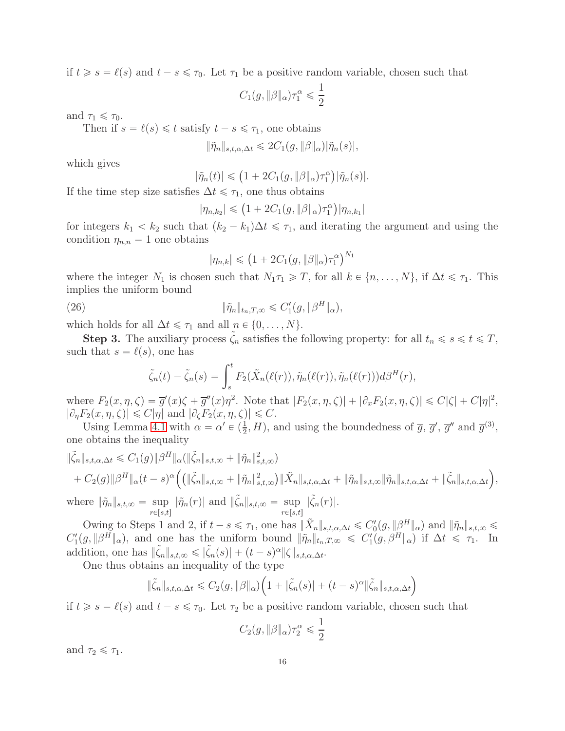if  $t \geq s = \ell(s)$  and  $t - s \leq \tau_0$ . Let  $\tau_1$  be a positive random variable, chosen such that

$$
C_1(g, \|\beta\|_{\alpha})\tau_1^{\alpha} \leqslant \frac{1}{2}
$$

and  $\tau_1 \leq \tau_0$ .

Then if  $s = \ell(s) \leq t$  satisfy  $t - s \leq \tau_1$ , one obtains

$$
\|\tilde{\eta}_n\|_{s,t,\alpha,\Delta t} \leq 2C_1(g, \|\beta\|_{\alpha})|\tilde{\eta}_n(s)|,
$$

which gives

$$
|\tilde{\eta}_n(t)| \leq (1 + 2C_1(g, \|\beta\|_{\alpha})\tau_1^{\alpha})|\tilde{\eta}_n(s)|.
$$

If the time step size satisfies  $\Delta t \leq \tau_1$ , one thus obtains

$$
|\eta_{n,k_2}| \leq (1 + 2C_1(g, \|\beta\|_{\alpha})\tau_1^{\alpha})|\eta_{n,k_1}|
$$

for integers  $k_1 < k_2$  such that  $(k_2 - k_1)\Delta t \leq \tau_1$ , and iterating the argument and using the condition  $\eta_{n,n} = 1$  one obtains

<span id="page-15-0"></span>
$$
|\eta_{n,k}| \leq (1 + 2C_1(g, \|\beta\|_{\alpha})\tau_1^{\alpha})^{N_1}
$$

where the integer  $N_1$  is chosen such that  $N_1\tau_1 \geq T$ , for all  $k \in \{n, \ldots, N\}$ , if  $\Delta t \leq \tau_1$ . This implies the uniform bound

(26) 
$$
\|\tilde{\eta}_n\|_{t_n,T,\infty} \leq C_1'(g, \|\beta^H\|_{\alpha}),
$$

which holds for all  $\Delta t \leq \tau_1$  and all  $n \in \{0, \ldots, N\}.$ 

**Step 3.** The auxiliary process  $\zeta_n$  satisfies the following property: for all  $t_n \le s \le t \le T$ , such that  $s = \ell(s)$ , one has

$$
\tilde{\zeta}_n(t) - \tilde{\zeta}_n(s) = \int_s^t F_2(\tilde{X}_n(\ell(r)), \tilde{\eta}_n(\ell(r)), \tilde{\eta}_n(\ell(r))) d\beta^H(r),
$$

where  $F_2(x, \eta, \zeta) = \overline{g}'(x)\zeta + \overline{g}''(x)\eta^2$ . Note that  $|F_2(x, \eta, \zeta)| + |\partial_x F_2(x, \eta, \zeta)| \leq C|\zeta| + C|\eta|^2$ ,  $|\partial_{\eta}F_2(x, \eta, \zeta)| \leq C|\eta|$  and  $|\partial_{\zeta}F_2(x, \eta, \zeta)| \leq C$ .

Using Lemma [4.1](#page-10-2) with  $\alpha = \alpha' \in (\frac{1}{2}, H)$ , and using the boundedness of  $\overline{g}$ ,  $\overline{g}'$ ,  $\overline{g}''$  and  $\overline{g}^{(3)}$ , one obtains the inequality

$$
\|\tilde{\zeta}_n\|_{s,t,\alpha,\Delta t} \leq C_1(g)\|\beta^H\|_{\alpha}(\|\tilde{\zeta}_n\|_{s,t,\infty} + \|\tilde{\eta}_n\|_{s,t,\infty}^2) + C_2(g)\|\beta^H\|_{\alpha}(t-s)^{\alpha} \Big( \|\tilde{\zeta}_n\|_{s,t,\infty} + \|\tilde{\eta}_n\|_{s,t,\infty}^2 \Big) \|\tilde{X}_n\|_{s,t,\alpha,\Delta t} + \|\tilde{\eta}_n\|_{s,t,\infty} \|\tilde{\eta}_n\|_{s,t,\alpha,\Delta t} + \|\tilde{\zeta}_n\|_{s,t,\alpha,\Delta t} \Big),
$$

where  $\|\tilde{\eta}_n\|_{s,t,\infty} = \sup_{r \in [s,t]} |\tilde{\eta}_n(r)|$  and  $\|\tilde{\zeta}_n\|_{s,t,\infty} = \sup_{r \in [s,t]} |\tilde{\zeta}_n(r)|$ .

Owing to Steps 1 and 2, if  $t - s \leq \tau_1$ , one has  $\|\tilde{X}_n\|_{s,t,\alpha,\Delta t} \leq C_0'(g, \|{\beta}^H\|_{\alpha})$  and  $\|\tilde{\eta}_n\|_{s,t,\infty} \leq$  $C'_1(g, \|\beta^H\|_{\alpha})$ , and one has the uniform bound  $\|\tilde{\eta}_n\|_{t_n,T,\infty} \leq C'_1(g, \beta^H\|_{\alpha})$  if  $\Delta t \leq \tau_1$ . In addition, one has  $\|\tilde{\zeta}_n\|_{s,t,\infty} \leq \left|\tilde{\zeta}_n(s)\right| + (t-s)^{\alpha} \|\zeta\|_{s,t,\alpha,\Delta t}.$ 

One thus obtains an inequality of the type

$$
\|\tilde{\zeta}_n\|_{s,t,\alpha,\Delta t} \leq C_2(g,\|\beta\|_{\alpha}) \Big(1+|\tilde{\zeta}_n(s)|+(t-s)^{\alpha}\|\tilde{\zeta}_n\|_{s,t,\alpha,\Delta t}\Big)
$$

if  $t \geq s = \ell(s)$  and  $t - s \leq \tau_0$ . Let  $\tau_2$  be a positive random variable, chosen such that

$$
C_2(g, \|\beta\|_{\alpha})\tau_2^{\alpha} \leq \frac{1}{2}
$$

and  $\tau_2 \leqslant \tau_1$ .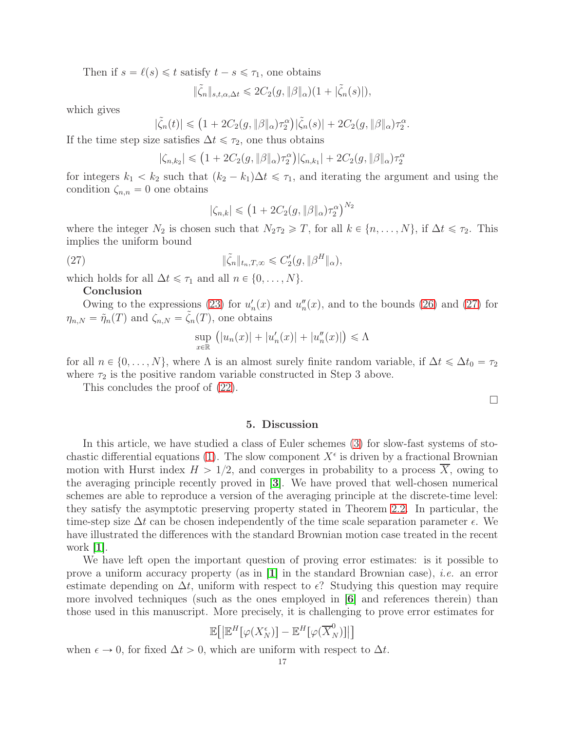Then if  $s = \ell(s) \leq t$  satisfy  $t - s \leq \tau_1$ , one obtains

$$
\|\tilde{\zeta}_n\|_{s,t,\alpha,\Delta t} \leq 2C_2(g,\|\beta\|_{\alpha})(1+|\tilde{\zeta}_n(s)|),
$$

which gives

$$
|\tilde{\zeta}_n(t)| \leq (1 + 2C_2(g, \|\beta\|_{\alpha})\tau_2^{\alpha})|\tilde{\zeta}_n(s)| + 2C_2(g, \|\beta\|_{\alpha})\tau_2^{\alpha}.
$$

If the time step size satisfies  $\Delta t \leq \tau_2$ , one thus obtains

$$
|\zeta_{n,k_2}| \leq (1 + 2C_2(g, \|\beta\|_{\alpha})\tau_2^{\alpha})|\zeta_{n,k_1}| + 2C_2(g, \|\beta\|_{\alpha})\tau_2^{\alpha}
$$

for integers  $k_1 < k_2$  such that  $(k_2 - k_1)\Delta t \leq \tau_1$ , and iterating the argument and using the condition  $\zeta_{n,n} = 0$  one obtains

<span id="page-16-1"></span>
$$
|\zeta_{n,k}| \leq (1 + 2C_2(g, \|\beta\|_{\alpha})\tau_2^{\alpha})^{N_2}
$$

where the integer  $N_2$  is chosen such that  $N_2\tau_2 \geq T$ , for all  $k \in \{n, \ldots, N\}$ , if  $\Delta t \leq \tau_2$ . This implies the uniform bound

(27) 
$$
\|\tilde{\zeta}_n\|_{t_n,T,\infty} \leq C_2'(g, \|\beta^H\|_{\alpha}),
$$

which holds for all  $\Delta t \leq \tau_1$  and all  $n \in \{0, \ldots, N\}.$ 

#### Conclusion

Owing to the expressions [\(23\)](#page-13-3) for  $u'_n(x)$  and  $u''_n(x)$ , and to the bounds [\(26\)](#page-15-0) and [\(27\)](#page-16-1) for  $\eta_{n,N} = \tilde{\eta}_n(T)$  and  $\zeta_{n,N} = \tilde{\zeta}_n(T)$ , one obtains

$$
\sup_{x \in \mathbb{R}} (|u_n(x)| + |u'_n(x)| + |u''_n(x)|) \le \Lambda
$$

for all  $n \in \{0, \ldots, N\}$ , where  $\Lambda$  is an almost surely finite random variable, if  $\Delta t \leq \Delta t_0 = \tau_2$ where  $\tau_2$  is the positive random variable constructed in Step 3 above.

<span id="page-16-0"></span>This concludes the proof of [\(22\)](#page-11-3).

 $\Box$ 

# 5. Discussion

In this article, we have studied a class of Euler schemes [\(3\)](#page-1-0) for slow-fast systems of sto-chastic differential equations [\(1\)](#page-0-0). The slow component  $X^{\epsilon}$  is driven by a fractional Brownian motion with Hurst index  $H > 1/2$ , and converges in probability to a process  $\overline{X}$ , owing to the averaging principle recently proved in [[3](#page-19-3)]. We have proved that well-chosen numerical schemes are able to reproduce a version of the averaging principle at the discrete-time level: they satisfy the asymptotic preserving property stated in Theorem [2.2.](#page-5-0) In particular, the time-step size  $\Delta t$  can be chosen independently of the time scale separation parameter  $\epsilon$ . We have illustrated the differences with the standard Brownian motion case treated in the recent work  $|1|$  $|1|$  $|1|$ .

We have left open the important question of proving error estimates: is it possible to prove a uniform accuracy property (as in  $\mathbf{1}$  $\mathbf{1}$  $\mathbf{1}$ ) in the standard Brownian case), *i.e.* an error estimate depending on  $\Delta t$ , uniform with respect to  $\epsilon$ ? Studying this question may require more involved techniques (such as the ones employed in [[6](#page-19-11)] and references therein) than those used in this manuscript. More precisely, it is challenging to prove error estimates for

$$
\mathbb{E}\big[\big|\mathbb{E}^H\big[\varphi(X_N^{\epsilon})\big]-\mathbb{E}^H\big[\varphi(\overline{X}_N^0)\big]\big|\big]
$$

when  $\epsilon \to 0$ , for fixed  $\Delta t > 0$ , which are uniform with respect to  $\Delta t$ .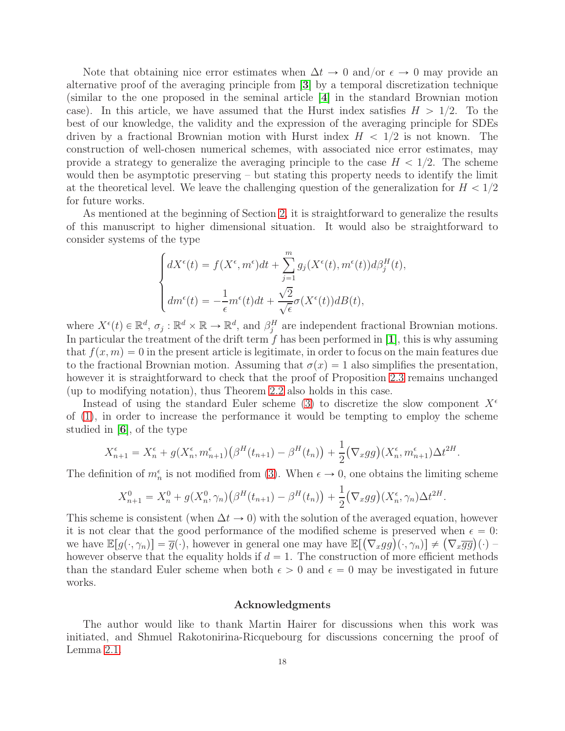Note that obtaining nice error estimates when  $\Delta t \to 0$  and/or  $\epsilon \to 0$  may provide an alternative proof of the averaging principle from [[3](#page-19-3)] by a temporal discretization technique (similar to the one proposed in the seminal article [[4](#page-19-6)] in the standard Brownian motion case). In this article, we have assumed that the Hurst index satisfies  $H > 1/2$ . To the best of our knowledge, the validity and the expression of the averaging principle for SDEs driven by a fractional Brownian motion with Hurst index  $H < 1/2$  is not known. The construction of well-chosen numerical schemes, with associated nice error estimates, may provide a strategy to generalize the averaging principle to the case  $H < 1/2$ . The scheme would then be asymptotic preserving – but stating this property needs to identify the limit at the theoretical level. We leave the challenging question of the generalization for  $H < 1/2$ for future works.

As mentioned at the beginning of Section [2,](#page-2-0) it is straightforward to generalize the results of this manuscript to higher dimensional situation. It would also be straightforward to consider systems of the type

$$
\begin{cases} dX^{\epsilon}(t) = f(X^{\epsilon}, m^{\epsilon})dt + \sum_{j=1}^{m} g_j(X^{\epsilon}(t), m^{\epsilon}(t))d\beta_j^{H}(t), \\ dm^{\epsilon}(t) = -\frac{1}{\epsilon}m^{\epsilon}(t)dt + \frac{\sqrt{2}}{\sqrt{\epsilon}}\sigma(X^{\epsilon}(t))dB(t), \end{cases}
$$

where  $X^{\epsilon}(t) \in \mathbb{R}^{d}$ ,  $\sigma_j : \mathbb{R}^{d} \times \mathbb{R} \to \mathbb{R}^{d}$ , and  $\beta_j^H$  are independent fractional Brownian motions. In particular the treatment of the drift term  $f$  has been performed in [[1](#page-19-9)], this is why assuming that  $f(x, m) = 0$  in the present article is legitimate, in order to focus on the main features due to the fractional Brownian motion. Assuming that  $\sigma(x) = 1$  also simplifies the presentation, however it is straightforward to check that the proof of Proposition [2.3](#page-5-3) remains unchanged (up to modifying notation), thus Theorem [2.2](#page-5-0) also holds in this case.

Instead of using the standard Euler scheme [\(3\)](#page-1-0) to discretize the slow component  $X^{\epsilon}$ of [\(1\)](#page-0-0), in order to increase the performance it would be tempting to employ the scheme studied in  $|6|$  $|6|$  $|6|$ , of the type

$$
X_{n+1}^{\epsilon} = X_n^{\epsilon} + g(X_n^{\epsilon}, m_{n+1}^{\epsilon})(\beta^{H}(t_{n+1}) - \beta^{H}(t_n)) + \frac{1}{2}(\nabla_x gg)(X_n^{\epsilon}, m_{n+1}^{\epsilon})\Delta t^{2H}.
$$

The definition of  $m_n^{\epsilon}$  is not modified from [\(3\)](#page-1-0). When  $\epsilon \to 0$ , one obtains the limiting scheme

$$
X_{n+1}^{0} = X_{n}^{0} + g(X_{n}^{0}, \gamma_{n}) (\beta^{H}(t_{n+1}) - \beta^{H}(t_{n})) + \frac{1}{2} (\nabla_{x}gg)(X_{n}^{\epsilon}, \gamma_{n}) \Delta t^{2H}.
$$

This scheme is consistent (when  $\Delta t \to 0$ ) with the solution of the averaged equation, however it is not clear that the good performance of the modified scheme is preserved when  $\epsilon = 0$ : we have  $\mathbb{E}[g(\cdot,\gamma_n)] = \overline{g}(\cdot)$ , however in general one may have  $\mathbb{E}[(\nabla_x gg)(\cdot,\gamma_n)] \neq (\nabla_x \overline{gg})(\cdot)$ however observe that the equality holds if  $d = 1$ . The construction of more efficient methods than the standard Euler scheme when both  $\epsilon > 0$  and  $\epsilon = 0$  may be investigated in future works.

# Acknowledgments

The author would like to thank Martin Hairer for discussions when this work was initiated, and Shmuel Rakotonirina-Ricquebourg for discussions concerning the proof of Lemma [2.1.](#page-3-1)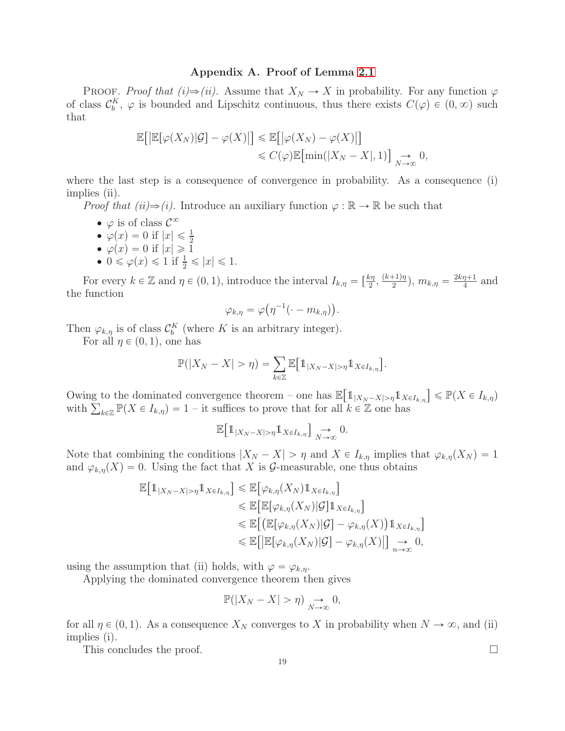# Appendix A. Proof of Lemma [2.1](#page-3-1)

PROOF. Proof that  $(i) \Rightarrow (ii)$ . Assume that  $X_N \to X$  in probability. For any function  $\varphi$ of class  $\mathcal{C}_b^K$ ,  $\varphi$  is bounded and Lipschitz continuous, thus there exists  $C(\varphi) \in (0, \infty)$  such that

$$
\mathbb{E}\big[\big|\mathbb{E}[\varphi(X_N)|\mathcal{G}] - \varphi(X)\big|\big] \le \mathbb{E}\big[\big|\varphi(X_N) - \varphi(X)\big|\big] \le C(\varphi)\mathbb{E}\big[\min(|X_N - X|, 1)\big] \underset{N \to \infty}{\to} 0,
$$

where the last step is a consequence of convergence in probability. As a consequence (i) implies (ii).

*Proof that (ii)* $\Rightarrow$  (*i*). Introduce an auxiliary function  $\varphi : \mathbb{R} \to \mathbb{R}$  be such that

- $\bullet$   $\varphi$  is of class  $\mathcal{C}^{\infty}$
- $\varphi(x) = 0$  if  $|x| \leq \frac{1}{2}$
- $\bullet \varphi(x) = 0 \text{ if } |x| \geq 1$
- $0 \le \varphi(x) \le 1$  if  $\frac{1}{2} \le |x| \le 1$ .

For every  $k \in \mathbb{Z}$  and  $\eta \in (0, 1)$ , introduce the interval  $I_{k,\eta} = \left[\frac{k\eta}{2}, \frac{(k+1)\eta}{2}\right]$  $\frac{(n+1)\eta}{2}$ ,  $m_{k,\eta} = \frac{2k\eta+1}{4}$  $\frac{\eta+1}{4}$  and the function

$$
\varphi_{k,\eta}=\varphi\big(\eta^{-1}(\cdot-m_{k,\eta})\big).
$$

Then  $\varphi_{k,\eta}$  is of class  $\mathcal{C}_b^K$  (where K is an arbitrary integer).

For all  $\eta \in (0, 1)$ , one has

$$
\mathbb{P}(|X_N - X| > \eta) = \sum_{k \in \mathbb{Z}} \mathbb{E}[\mathbb{1}_{|X_N - X| > \eta} \mathbb{1}_{X \in I_{k,\eta}}].
$$

Owing to the dominated convergence theorem – one has  $\mathbb{E}[\mathbb{1}_{|X_N - X| > \eta} \mathbb{1}_{X \in I_{k,\eta}}] \leq \mathbb{P}(X \in I_{k,\eta})$ with  $\sum_{k\in\mathbb{Z}} \mathbb{P}(X \in I_{k,\eta}) = 1$  – it suffices to prove that for all  $k \in \mathbb{Z}$  one has

$$
\mathbb{E}\big[\mathbb{1}_{|X_N-X|>\eta}\mathbb{1}_{X\in I_{k,\eta}}\big]\underset{N\to\infty}{\longrightarrow}0.
$$

Note that combining the conditions  $|X_N - X| > \eta$  and  $X \in I_{k,\eta}$  implies that  $\varphi_{k,\eta}(X_N) = 1$ and  $\varphi_{k,n}(X) = 0$ . Using the fact that X is G-measurable, one thus obtains

$$
\mathbb{E}[\mathbb{1}_{|X_N - X| > \eta} \mathbb{1}_{X \in I_{k,\eta}}] \leq \mathbb{E}[\varphi_{k,\eta}(X_N) \mathbb{1}_{X \in I_{k,\eta}}]
$$
  
\n
$$
\leq \mathbb{E}[\mathbb{E}[\varphi_{k,\eta}(X_N)|\mathcal{G}] \mathbb{1}_{X \in I_{k,\eta}}]
$$
  
\n
$$
\leq \mathbb{E}[(\mathbb{E}[\varphi_{k,\eta}(X_N)|\mathcal{G}] - \varphi_{k,\eta}(X)) \mathbb{1}_{X \in I_{k,\eta}}]
$$
  
\n
$$
\leq \mathbb{E}[\mathbb{E}[\varphi_{k,\eta}(X_N)|\mathcal{G}] - \varphi_{k,\eta}(X)]] \underset{n \to \infty}{\to} 0,
$$

using the assumption that (ii) holds, with  $\varphi = \varphi_{k,n}$ .

Applying the dominated convergence theorem then gives

$$
\mathbb{P}(|X_N - X| > \eta) \underset{N \to \infty}{\to} 0,
$$

for all  $\eta \in (0, 1)$ . As a consequence  $X_N$  converges to X in probability when  $N \to \infty$ , and (ii) implies (i).

This concludes the proof.  $\Box$